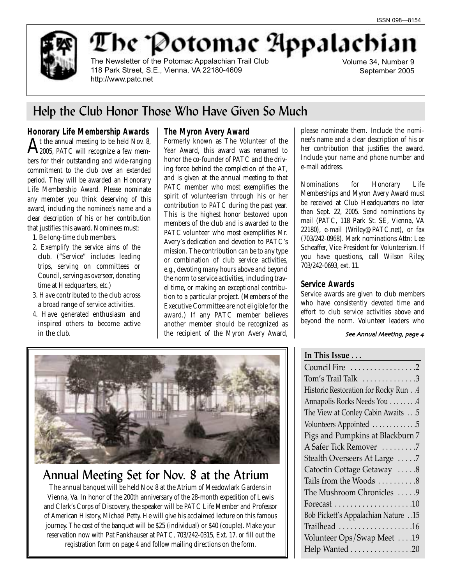

The Potomac Appalachia

The Newsletter of the Potomac Appalachian Trail Club 118 Park Street, S.E., Vienna, VA 22180-4609 http://www.patc.net

Volume 34, Number 9 September 2005

## Help the Club Honor Those Who Have Given So Much

## **Honorary Life Membership Awards**

 $\rm A$ t the annual meeting to be held Nov. 8,<br> $\rm A$ 2005, PATC will recognize a few members for their outstanding and wide-ranging commitment to the club over an extended period. They will be awarded an Honorary Life Membership Award. Please nominate any member you think deserving of this award, including the nominee's name and a clear description of his or her contribution that justifies this award. Nominees must:

- 1. Be long-time club members.
- 2. Exemplify the service aims of the club. ("Service" includes leading trips, serving on committees or Council, serving as overseer, donating time at Headquarters, etc.)
- 3. Have contributed to the club across a broad range of service activities.
- 4. Have generated enthusiasm and inspired others to become active in the club.

### **The Myron Avery Award**

Formerly known as The Volunteer of the Year Award, this award was renamed to honor the co-founder of PATC and the driving force behind the completion of the AT, and is given at the annual meeting to that PATC member who most exemplifies the spirit of volunteerism through his or her contribution to PATC during the past year. This is the highest honor bestowed upon members of the club and is awarded to the PATC volunteer who most exemplifies Mr. Avery's dedication and devotion to PATC's mission. The contribution can be to any type or combination of club service activities, e.g., devoting many hours above and beyond the norm to service activities, including travel time, or making an exceptional contribution to a particular project. (Members of the Executive Committee are not eligible for the award.) If any PATC member believes another member should be recognized as the recipient of the Myron Avery Award, please nominate them. Include the nominee's name and a clear description of his or her contribution that justifies the award. Include your name and phone number and e-mail address.

Nominations for Honorary Life Memberships and Myron Avery Award must be received at Club Headquarters no later than Sept. 22, 2005. Send nominations by mail (PATC, 118 Park St. SE, Vienna, VA 22180), e-mail (Wriley@PATC.net), or fax (703/242-0968). Mark nominations Attn: Lee Scheaffer, Vice President for Volunteerism. If you have questions, call Wilson Riley, 703/242-0693, ext. 11.

### **Service Awards**

Service awards are given to club members who have consistently devoted time and effort to club service activities above and beyond the norm. Volunteer leaders who

### See Annual Meeting, page 4

## **In This Issue . . .**

Council Fire . . . . . . . . . . . . . . . . .2 Tom's Trail Talk  $\dots\dots\dots\dots3$ Historic Restoration for Rocky Run . .4 Annapolis Rocks Needs You . . . . . . . .4 The View at Conley Cabin Awaits . . .5 Volunteers Appointed . . . . . . . . . . . . .5 Pigs and Pumpkins at Blackburn 7 A Safer Tick Remover . . . . . . . . .7 Stealth Overseers At Large . . . . .7 Catoctin Cottage Getaway . . . . . 8 Tails from the Woods  $\dots \dots 8$ The Mushroom Chronicles . . . . . 9 Forecast . . . . . . . . . . . . . . . . . . . .10 Bob Pickett's Appalachian Nature . .15 Trailhead . . . . . . . . . . . . . . . . . . .16 Volunteer Ops/Swap Meet . . . .19 Help Wanted . . . . . . . . . . . . . . . . 20



## Annual Meeting Set for Nov. 8 at the Atrium

The annual banquet will be held Nov. 8 at the Atrium of Meadowlark Gardens in Vienna, Va. In honor of the 200th anniversary of the 28-month expedition of Lewis and Clark's Corps of Discovery, the speaker will be PATC Life Member and Professor of American History, Michael Petty. He will give his acclaimed lecture on this famous journey. The cost of the banquet will be \$25 (individual) or \$40 (couple). Make your reservation now with Pat Fankhauser at PATC, 703/242-0315, Ext. 17. or fill out the registration form on page 4 and follow mailing directions on the form.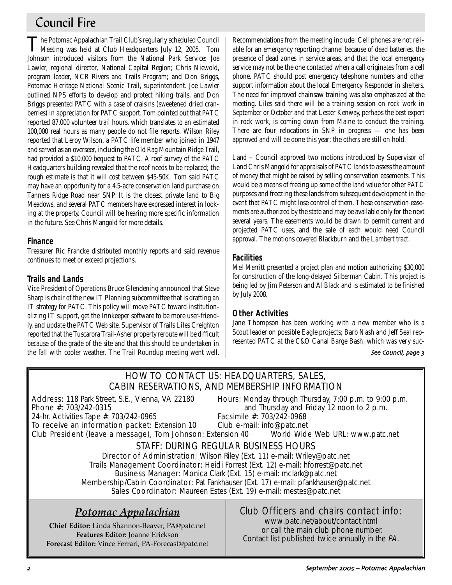## Council Fire

The Potomac Appalachian Trail Club's regularly scheduled Council Meeting was held at Club Headquarters July 12, 2005. Tom Johnson introduced visitors from the National Park Service: Joe Lawler, regional director, National Capital Region; Chris Niewold, program leader, NCR Rivers and Trails Program; and Don Briggs, Potomac Heritage National Scenic Trail, superintendent. Joe Lawler outlined NPS efforts to develop and protect hiking trails, and Don Briggs presented PATC with a case of craisins (sweetened dried cranberries) in appreciation for PATC support. Tom pointed out that PATC reported 87,000 volunteer trail hours, which translates to an estimated 100,000 real hours as many people do not file reports. Wilson Riley reported that Leroy Wilson, a PATC life member who joined in 1947 and served as an overseer, including the Old Rag Mountain Ridge Trail, had provided a \$10,000 bequest to PATC. A roof survey of the PATC Headquarters building revealed that the roof needs to be replaced; the rough estimate is that it will cost between \$45-50K. Tom said PATC may have an opportunity for a 4.5-acre conservation land purchase on Tanners Ridge Road near SNP. It is the closest private land to Big Meadows, and several PATC members have expressed interest in looking at the property. Council will be hearing more specific information in the future. See Chris Mangold for more details.

## **Finance**

Treasurer Ric Francke distributed monthly reports and said revenue continues to meet or exceed projections.

## **Trails and Lands**

Vice President of Operations Bruce Glendening announced that Steve Sharp is chair of the new IT Planning subcommittee that is drafting an IT strategy for PATC. This policy will move PATC toward institutionalizing IT support, get the Innkeeper software to be more user-friendly, and update the PATC Web site. Supervisor of Trails Liles Creighton reported that the Tuscarora Trail-Asher property reroute will be difficult because of the grade of the site and that this should be undertaken in the fall with cooler weather. The Trail Roundup meeting went well.

Recommendations from the meeting include: Cell phones are not reliable for an emergency reporting channel because of dead batteries, the presence of dead zones in service areas, and that the local emergency service may not be the one contacted when a call originates from a cell phone. PATC should post emergency telephone numbers and other support information about the local Emergency Responder in shelters. The need for improved chainsaw training was also emphasized at the meeting. Liles said there will be a training session on rock work in September or October and that Lester Kenway, perhaps the best expert in rock work, is coming down from Maine to conduct the training. There are four relocations in SNP in progress — one has been approved and will be done this year; the others are still on hold.

*Land* – Council approved two motions introduced by Supervisor of Land Chris Mangold for appraisals of PATC lands to assess the amount of money that might be raised by selling conservation easements. This would be a means of freeing up some of the land value for other PATC purposes and freezing these lands from subsequent development in the event that PATC might lose control of them. These conservation easements are authorized by the state and may be available only for the next several years. The easements would be drawn to permit current and projected PATC uses, and the sale of each would need Council approval. The motions covered Blackburn and the Lambert tract.

## **Facilities**

Mel Merritt presented a project plan and motion authorizing \$30,000 for construction of the long-delayed Silberman Cabin. This project is being led by Jim Peterson and Al Black and is estimated to be finished by July 2008.

## **Other Activities**

Jane Thompson has been working with a new member who is a Scout leader on possible Eagle projects; Barb Nash and Jeff Seal represented PATC at the C&O Canal Barge Bash, which was very suc-

### See Council, page 3

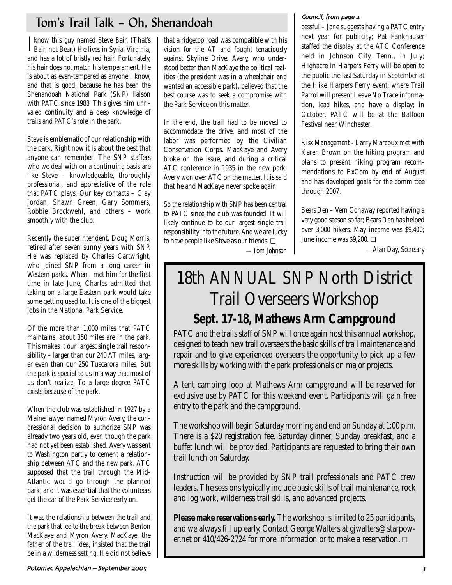# Tom's Trail Talk – Oh, Shenandoah

Iknow this guy named Steve Bair. (That's Bair, not Bear.) He lives in Syria, Virginia, Bair, not Bear.) He lives in Syria, Virginia, and has a lot of bristly red hair. Fortunately, his hair does not match his temperament. He is about as even-tempered as anyone I know, and that is good, because he has been the Shenandoah National Park (SNP) liaison with PATC since 1988. This gives him unrivaled continuity and a deep knowledge of trails and PATC's role in the park.

Steve is emblematic of our relationship with the park. Right now it is about the best that anyone can remember. The SNP staffers who we deal with on a continuing basis are like Steve – knowledgeable, thoroughly professional, and appreciative of the role that PATC plays. Our key contacts – Clay Jordan, Shawn Green, Gary Sommers, Robbie Brockwehl, and others – work smoothly with the club.

Recently the superintendent, Doug Morris, retired after seven sunny years with SNP. He was replaced by Charles Cartwright, who joined SNP from a long career in Western parks. When I met him for the first time in late June, Charles admitted that taking on a large Eastern park would take some getting used to. It is one of the biggest jobs in the National Park Service.

Of the more than 1,000 miles that PATC maintains, about 350 miles are in the park. This makes it our largest single trail responsibility – larger than our 240 AT miles, larger even than our 250 Tuscarora miles. But the park is special to us in a way that most of us don't realize. To a large degree PATC exists because of the park.

When the club was established in 1927 by a Maine lawyer named Myron Avery, the congressional decision to authorize SNP was already two years old, even though the park had not yet been established. Avery was sent to Washington partly to cement a relationship between ATC and the new park. ATC supposed that the trail through the Mid-Atlantic would go through the planned park, and it was essential that the volunteers get the ear of the Park Service early on.

It was the relationship between the trail and the park that led to the break between Benton MacKaye and Myron Avery. MacKaye, the father of the trail idea, insisted that the trail be in a wilderness setting. He did not believe

that a ridgetop road was compatible with his vision for the AT and fought tenaciously against Skyline Drive. Avery, who understood better than MacKaye the political realities (the president was in a wheelchair and wanted an accessible park), believed that the best course was to seek a compromise with the Park Service on this matter.

In the end, the trail had to be moved to accommodate the drive, and most of the labor was performed by the Civilian Conservation Corps. MacKaye and Avery broke on the issue, and during a critical ATC conference in 1935 in the new park, Avery won over ATC on the matter. It is said that he and MacKaye never spoke again.

So the relationship with SNP has been central to PATC since the club was founded. It will likely continue to be our largest single trail responsibility into the future. And we are lucky to have people like Steve as our friends. ❏ *—Tom Johnson*

## Council, from page 2

cessful – Jane suggests having a PATC entry next year for publicity; Pat Fankhauser staffed the display at the ATC Conference held in Johnson City, Tenn., in July; Highacre in Harpers Ferry will be open to the public the last Saturday in September at the Hike Harpers Ferry event, where Trail Patrol will present Leave No Trace information, lead hikes, and have a display; in October, PATC will be at the Balloon Festival near Winchester.

*Risk Management* - Larry Marcoux met with Karen Brown on the hiking program and plans to present hiking program recommendations to ExCom by end of August and has developed goals for the committee through 2007.

*Bears Den* – Vern Conaway reported having a very good season so far; Bears Den has helped over 3,000 hikers. May income was \$9,400; June income was \$9,200. ❏

*—Alan Day, Secretary*

# 18th ANNUAL SNP North District Trail Overseers Workshop **Sept. 17-18, Mathews Arm Campground**

PATC and the trails staff of SNP will once again host this annual workshop, designed to teach new trail overseers the basic skills of trail maintenance and repair and to give experienced overseers the opportunity to pick up a few more skills by working with the park professionals on major projects.

A tent camping loop at Mathews Arm campground will be reserved for exclusive use by PATC for this weekend event. Participants will gain free entry to the park and the campground.

The workshop will begin Saturday morning and end on Sunday at 1:00 p.m. There is a \$20 registration fee. Saturday dinner, Sunday breakfast, and a buffet lunch will be provided. Participants are requested to bring their own trail lunch on Saturday.

Instruction will be provided by SNP trail professionals and PATC crew leaders. The sessions typically include basic skills of trail maintenance, rock and log work, wilderness trail skills, and advanced projects.

**Please make reservations early.** The workshop is limited to 25 participants, and we always fill up early. Contact George Walters at gjwalters@starpower.net or 410/426-2724 for more information or to make a reservation. ❏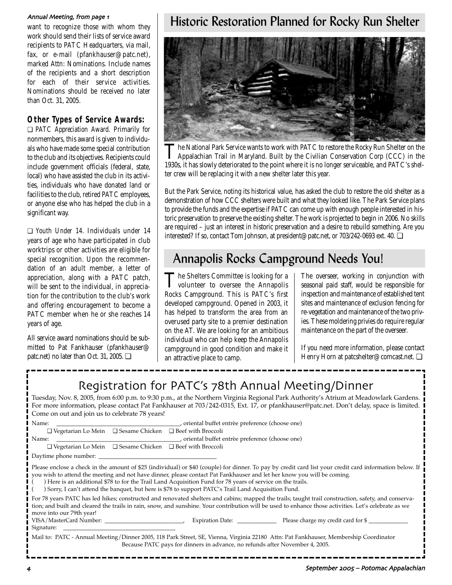#### Annual Meeting, from page 1

want to recognize those with whom they work should send their lists of service award recipients to PATC Headquarters, via mail, fax, or e-mail (pfankhauser@patc.net), marked Attn: Nominations. Include names of the recipients and a short description for each of their service activities. Nominations should be received no later than Oct. 31, 2005.

## **Other Types of Service Awards:**

❏ *PATC Appreciation Award.* Primarily for nonmembers, this award is given to individuals who have made some special contribution to the club and its objectives. Recipients could include government officials (federal, state, local) who have assisted the club in its activities, individuals who have donated land or facilities to the club, retired PATC employees, or anyone else who has helped the club in a significant way.

❏ *Youth Under 14.* Individuals under 14 years of age who have participated in club worktrips or other activities are eligible for special recognition. Upon the recommendation of an adult member, a letter of appreciation, along with a PATC patch, will be sent to the individual, in appreciation for the contribution to the club's work and offering encouragement to become a PATC member when he or she reaches 14 years of age.

All service award nominations should be submitted to Pat Fankhauser (pfankhauser@ patc.net) no later than Oct. 31, 2005. ❏

## Historic Restoration Planned for Rocky Run Shelter



The National Park Service wants to work with PATC to restore the Rocky Run Shelter on the<br>Appalachian Trail in Maryland. Built by the Civilian Conservation Corp (CCC) in the 1930s, it has slowly deteriorated to the point where it is no longer serviceable, and PATC's shelter crew will be replacing it with a new shelter later this year.

But the Park Service, noting its historical value, has asked the club to restore the old shelter as a demonstration of how CCC shelters were built and what they looked like. The Park Service plans to provide the funds and the expertise if PATC can come up with enough people interested in historic preservation to preserve the existing shelter. The work is projected to begin in 2006. No skills are required – just an interest in historic preservation and a desire to rebuild something. Are you interested? If so, contact Tom Johnson, at president@patc.net, or 703/242-0693 ext. 40. ❏

## Annapolis Rocks Campground Needs You!

The Shelters Committee is looking for a<br>volunteer to oversee the Annapolis Rocks Campground. This is PATC's first developed campground. Opened in 2003, it has helped to transform the area from an overused party site to a premier destination on the AT. We are looking for an ambitious individual who can help keep the Annapolis campground in good condition and make it an attractive place to camp.

The overseer, working in conjunction with seasonal paid staff, would be responsible for inspection and maintenance of established tent sites and maintenance of exclusion fencing for re-vegetation and maintenance of the two privies. These moldering privies do require regular maintenance on the part of the overseer.

If you need more information, please contact Henry Horn at patcshelter@comcast.net. ❏

## Registration for PATC's 78th Annual Meeting/Dinner

Tuesday, Nov. 8, 2005, from 6:00 p.m. to 9:30 p.m., at the Northern Virginia Regional Park Authority's Atrium at Meadowlark Gardens. For more information, please contact Pat Fankhauser at 703/242-0315, Ext. 17, or pfankhauser@patc.net. Don't delay, space is limited. Come on out and join us to celebrate 78 years!

| oriental buffet entrèe preference (choose one), (choose one)<br>Name:                                                                                                                                                                                                                                                                                                                                                                                                                                |  |  |  |
|------------------------------------------------------------------------------------------------------------------------------------------------------------------------------------------------------------------------------------------------------------------------------------------------------------------------------------------------------------------------------------------------------------------------------------------------------------------------------------------------------|--|--|--|
| $\Box$ Vegetarian Lo Mein $\Box$ Sesame Chicken $\Box$ Beef with Broccoli                                                                                                                                                                                                                                                                                                                                                                                                                            |  |  |  |
| criental buffet entrèe preference (choose one)<br>Name:                                                                                                                                                                                                                                                                                                                                                                                                                                              |  |  |  |
| $\Box$ Vegetarian Lo Mein $\Box$ Sesame Chicken $\Box$ Beef with Broccoli                                                                                                                                                                                                                                                                                                                                                                                                                            |  |  |  |
| Daytime phone number:                                                                                                                                                                                                                                                                                                                                                                                                                                                                                |  |  |  |
| Please enclose a check in the amount of \$25 (individual) or \$40 (couple) for dinner. To pay by credit card list your credit card information below. If<br>you wish to attend the meeting and not have dinner, please contact Pat Fankhauser and let her know you will be coming.<br>Here is an additional \$78 to for the Trail Land Acquisition Fund for 78 years of service on the trails.<br>Sorry, I can't attend the banquet, but here is \$78 to support PATC's Trail Land Acquisition Fund. |  |  |  |
| For 78 years PATC has led hikes; constructed and renovated shelters and cabins; mapped the trails; taught trail construction, safety, and conserva-<br>tion; and built and cleared the trails in rain, snow, and sunshine. Your contribution will be used to enhance those activities. Let's celebrate as we<br>move into our 79th year!                                                                                                                                                             |  |  |  |
| VISA/MasterCard Number:<br>Expiration Date: Please charge my credit card for \$                                                                                                                                                                                                                                                                                                                                                                                                                      |  |  |  |
|                                                                                                                                                                                                                                                                                                                                                                                                                                                                                                      |  |  |  |
| Mail to: PATC - Annual Meeting/Dinner 2005, 118 Park Street, SE, Vienna, Virginia 22180 Attn: Pat Fankhauser, Membership Coordinator<br>Because PATC pays for dinners in advance, no refunds after November 4, 2005.                                                                                                                                                                                                                                                                                 |  |  |  |
|                                                                                                                                                                                                                                                                                                                                                                                                                                                                                                      |  |  |  |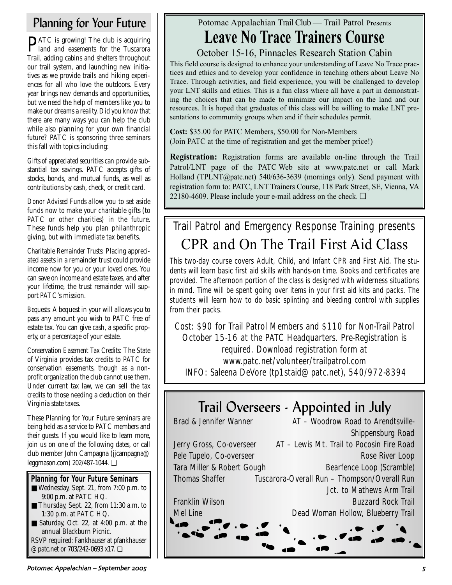# Planning for Your Future

**PATC** is growing! The club is acquiring<br>land and easements for the Tuscarora Trail, adding cabins and shelters throughout our trail system, and launching new initiatives as we provide trails and hiking experiences for all who love the outdoors. Every year brings new demands and opportunities, but we need the help of members like you to make our dreams a reality. Did you know that there are many ways you can help the club while also planning for your own financial future? PATC is sponsoring three seminars this fall with topics including:

*Gifts of appreciated securities* can provide substantial tax savings. PATC accepts gifts of stocks, bonds, and mutual funds, as well as contributions by cash, check, or credit card.

*Donor Advised Funds* allow you to set aside funds now to make your charitable gifts (to PATC or other charities) in the future. These funds help you plan philanthropic giving, but with immediate tax benefits.

*Charitable Remainder Trusts*: Placing appreciated assets in a remainder trust could provide income now for you or your loved ones. You can save on income and estate taxes, and after your lifetime, the trust remainder will support PATC's mission.

*Bequests:* A bequest in your will allows you to pass any amount you wish to PATC free of estate tax. You can give cash, a specific property, or a percentage of your estate.

*Conservation Easement Tax Credits:* The State of Virginia provides tax credits to PATC for conservation easements, though as a nonprofit organization the club cannot use them. Under current tax law, we can sell the tax credits to those needing a deduction on their Virginia state taxes.

These Planning for Your Future seminars are being held as a service to PATC members and their guests. If you would like to learn more, join us on one of the following dates, or call club member John Campagna (jjcampagna@ leggmason.com) 202/487-1044. ❏

## **Planning for Your Future Seminars**

- Wednesday, Sept. 21, from 7:00 p.m. to 9:00 p.m. at PATC HQ.
- Thursday, Sept. 22, from 11:30 a.m. to 1:30 p.m. at PATC HQ.
- Saturday, Oct. 22, at 4:00 p.m. at the annual Blackburn Picnic. RSVP required: Fankhauser at pfankhauser @patc.net or 703/242-0693 x17. ❏

This field course is designed to enhance your understanding of Leave No Trace practices and ethics and to develop your confidence in teaching others about Leave No Trace. Through activities, and field experience, you will be challenged to develop your LNT skills and ethics. This is a fun class where all have a part in demonstrating the choices that can be made to minimize our impact on the land and our resources. It is hoped that graduates of this class will be willing to make LNT presentations to community groups when and if their schedules permit.

> **Cost:** \$35.00 for PATC Members, \$50.00 for Non-Members (Join PATC at the time of registration and get the member price!)

**Registration:** Registration forms are available on-line through the Trail Patrol/LNT page of the PATC Web site at www.patc.net or call Mark Holland (TPLNT@patc.net) 540/636-3639 (mornings only). Send payment with registration form to: PATC, LNT Trainers Course, 118 Park Street, SE, Vienna, VA 22180-4609. Please include your e-mail address on the check. ❏

Potomac Appalachian Trail Club — Trail Patrol Presents

**Leave No Trace Trainers Course**

October 15-16, Pinnacles Research Station Cabin

# Trail Patrol and Emergency Response Training presents CPR and On The Trail First Aid Class

This two-day course covers Adult, Child, and Infant CPR and First Aid. The students will learn basic first aid skills with hands-on time. Books and certificates are provided. The afternoon portion of the class is designed with wilderness situations in mind. Time will be spent going over items in your first aid kits and packs. The students will learn how to do basic splinting and bleeding control with supplies from their packs.

Cost: \$90 for Trail Patrol Members and \$110 for Non-Trail Patrol October 15-16 at the PATC Headquarters. Pre-Registration is required. Download registration form at www.patc.net/volunteer/trailpatrol.com INFO: Saleena DeVore (tp1staid@patc.net), 540/972-8394

# Trail Overseers - Appointed in July

| <b>Brad &amp; Jennifer Wanner</b> | AT - Woodrow Road to Arendtsville-           |
|-----------------------------------|----------------------------------------------|
|                                   | Shippensburg Road                            |
| Jerry Gross, Co-overseer          | AT – Lewis Mt. Trail to Pocosin Fire Road    |
| Pele Tupelo, Co-overseer          | Rose River Loop                              |
| Tara Miller & Robert Gough        | <b>Bearfence Loop (Scramble)</b>             |
| <b>Thomas Shaffer</b>             | Tuscarora-Overall Run - Thompson/Overall Run |
|                                   | Jct. to Mathews Arm Trail                    |
| <b>Franklin Wilson</b>            | <b>Buzzard Rock Trail</b>                    |
| <b>Mel Line</b>                   | Dead Woman Hollow, Blueberry Trail           |
|                                   |                                              |
|                                   |                                              |
|                                   |                                              |
|                                   |                                              |

Potomac Appalachian – September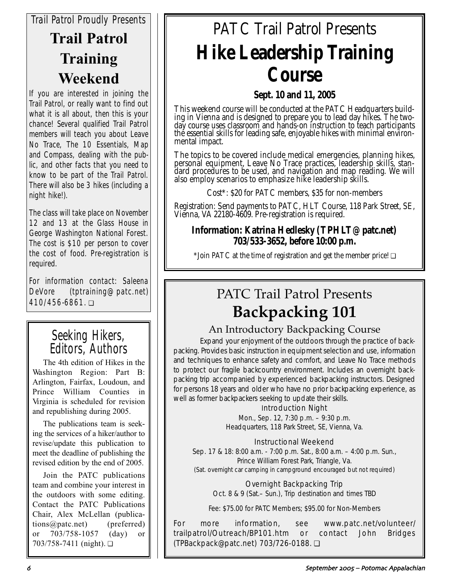# *Trail Patrol Proudly Presents* **Trail Patrol Training Weekend**

If you are interested in joining the Trail Patrol, or really want to find out what it is all about, then this is your chance! Several qualified Trail Patrol members will teach you about Leave No Trace, The 10 Essentials, Map and Compass, dealing with the public, and other facts that you need to know to be part of the Trail Patrol. There will also be 3 hikes (including a night hike!).

The class will take place on November 12 and 13 at the Glass House in George Washington National Forest. The cost is \$10 per person to cover the cost of food. Pre-registration is required.

*For information contact: Saleena DeVore (tptraining@patc.net) 410/456-6861.* ❏

## Seeking Hikers, Editors, Authors

The 4th edition of Hikes in the Washington Region: Part B: Arlington, Fairfax, Loudoun, and Prince William Counties in Virginia is scheduled for revision and republishing during 2005.

The publications team is seeking the services of a hiker/author to revise/update this publication to meet the deadline of publishing the revised edition by the end of 2005.

Join the PATC publications team and combine your interest in the outdoors with some editing. Contact the PATC Publications Chair, Alex McLellan (publications@patc.net) (preferred) or 703/758-1057 (day) or 703/758-7411 (night). ❏

# PATC Trail Patrol Presents **Hike Leadership Training Course**

## **Sept. 10 and 11, 2005**

This weekend course will be conducted at the PATC Headquarters building in Vienna and is designed to prepare you to lead day hikes. The twoday course uses classroom and hands-on instruction to teach participants the essential skills for leading safe, enjoyable hikes with minimal environmental impact.

The topics to be covered include medical emergencies, planning hikes, personal equipment, Leave No Trace practices, leadership skills, standard procedures to be used, and navigation and map reading. We will also employ scenarios to emphasize hike leadership skills.

Cost\*: \$20 for PATC members, \$35 for non-members

Registration: Send payments to PATC, HLT Course, 118 Park Street, SE, Vienna, VA 22180-4609. Pre-registration is required.

## **Information: Katrina Hedlesky (TPHLT@patc.net) 703/533-3652, before 10:00 p.m.**

\*Join PATC at the time of registration and get the member price! ❏

# PATC Trail Patrol Presents **Backpacking 101**

## An Introductory Backpacking Course

Expand your enjoyment of the outdoors through the practice of backpacking. Provides basic instruction in equipment selection and use, information and techniques to enhance safety and comfort, and Leave No Trace methods to protect our fragile backcountry environment. Includes an overnight backpacking trip accompanied by experienced backpacking instructors. Designed for persons 18 years and older who have no prior backpacking experience, as well as former backpackers seeking to update their skills.

## Introduction Night

Mon., Sep. 12, 7:30 p.m. – 9:30 p.m. Headquarters, 118 Park Street, SE, Vienna, Va.

## Instructional Weekend

Sep. 17 & 18: 8:00 a.m. - 7:00 p.m. Sat., 8:00 a.m. – 4:00 p.m. Sun., Prince William Forest Park, Triangle, Va.

(Sat. overnight car camping in campground encouraged but not required)

## Overnight Backpacking Trip

Oct. 8 & 9 (Sat.– Sun.), Trip destination and times TBD

Fee: \$75.00 for PATC Members; \$95.00 for Non-Members

For more information, see www.patc.net/volunteer/ trailpatrol/Outreach/BP101.htm or contact John Bridges (TPBackpack@patc.net) 703/726-0188. ❏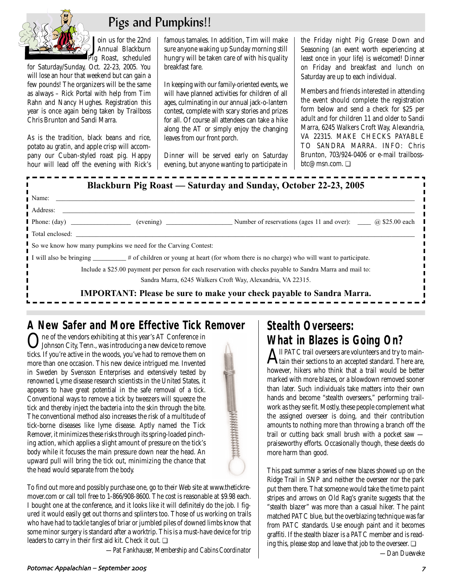

 $\blacksquare$ 

# Pigs and Pumpkins!!

/ **J**oin us for the 22nd<br>Pig Roast, scheduled oin us for the 22nd Annual Blackburn

for Saturday/Sunday, Oct. 22-23, 2005. You will lose an hour that weekend but can gain a few pounds! The organizers will be the same as always – Rick Portal with help from Tim Rahn and Nancy Hughes. Registration this year is once again being taken by Trailboss Chris Brunton and Sandi Marra.

As is the tradition, black beans and rice, potato *au gratin*, and apple crisp will accompany our Cuban-styled roast pig. Happy hour will lead off the evening with Rick's famous tamales. In addition, Tim will make sure anyone waking up Sunday morning still hungry will be taken care of with his quality breakfast fare.

In keeping with our family-oriented events, we will have planned activities for children of all ages, culminating in our annual jack-o-lantern contest, complete with scary stories and prizes for all. Of course all attendees can take a hike along the AT or simply enjoy the changing leaves from our front porch.

Dinner will be served early on Saturday evening, but anyone wanting to participate in the Friday night Pig Grease Down and Seasoning (an event worth experiencing at least once in your life) is welcomed! Dinner on Friday and breakfast and lunch on Saturday are up to each individual.

Members and friends interested in attending the event should complete the registration form below and send a check for \$25 per adult and for children 11 and older to Sandi Marra, 6245 Walkers Croft Way, Alexandria, VA 22315. MAKE CHECKS PAYABLE TO SANDRA MARRA. INFO: Chris Brunton, 703/924-0406 or e-mail trailbossbtc@msn.com. ❏

## **Blackburn Pig Roast — Saturday and Sunday, October 22-23, 2005**

| Name: Name:                                                                                                                                                                                                                    |  |                                                                              |  |
|--------------------------------------------------------------------------------------------------------------------------------------------------------------------------------------------------------------------------------|--|------------------------------------------------------------------------------|--|
| Address:                                                                                                                                                                                                                       |  |                                                                              |  |
|                                                                                                                                                                                                                                |  |                                                                              |  |
| Total enclosed: contract to the contract of the contract of the contract of the contract of the contract of the contract of the contract of the contract of the contract of the contract of the contract of the contract of th |  |                                                                              |  |
| So we know how many pumpkins we need for the Carving Contest:                                                                                                                                                                  |  |                                                                              |  |
| I will also be bringing _________# of children or young at heart (for whom there is no charge) who will want to participate.                                                                                                   |  |                                                                              |  |
| Include a \$25.00 payment per person for each reservation with checks payable to Sandra Marra and mail to:                                                                                                                     |  |                                                                              |  |
|                                                                                                                                                                                                                                |  | Sandra Marra, 6245 Walkers Croft Way, Alexandria, VA 22315.                  |  |
|                                                                                                                                                                                                                                |  | <b>IMPORTANT:</b> Please be sure to make your check payable to Sandra Marra. |  |

## **A New Safer and More Effective Tick Remover**

One of the vendors exhibiting at this year's AT Conference in Johnson City, Tenn., was introducing a new device to remove ticks. If you're active in the woods, you've had to remove them on more than one occasion. This new device intrigued me. Invented in Sweden by Svensson Enterprises and extensively tested by renowned Lyme disease research scientists in the United States, it appears to have great potential in the safe removal of a tick. Conventional ways to remove a tick by tweezers will squeeze the tick and thereby inject the bacteria into the skin through the bite. The conventional method also increases the risk of a multitude of tick-borne diseases like lyme disease. Aptly named the Tick Remover, it minimizes these risks through its spring-loaded pinching action, which applies a slight amount of pressure on the tick's body while it focuses the main pressure down near the head. An upward pull will bring the tick out, minimizing the chance that the head would separate from the body.

To find out more and possibly purchase one, go to their Web site at www.thetickremover.com or call toll free to 1-866/908-8600. The cost is reasonable at \$9.98 each. I bought one at the conference, and it looks like it will definitely do the job. I figured it would easily get out thorns and splinters too. Those of us working on trails who have had to tackle tangles of briar or jumbled piles of downed limbs know that some minor surgery is standard after a worktrip. This is a must-have device for trip leaders to carry in their first aid kit. Check it out. ❏

*—Pat Fankhauser, Membership and Cabins Coordinator* 

# **Stealth Overseers: What in Blazes is Going On?**<br> **A** Il PATC trail overseers are volunteers and try to main-

 $\mathbf A$ ll PATC trail overseers are volunteers and try to main-<br>tain their sections to an accepted standard. There are, however, hikers who think that a trail would be better marked with more blazes, or a blowdown removed sooner than later. Such individuals take matters into their own hands and become "stealth overseers," performing trailwork as they see fit. Mostly, these people complement what the assigned overseer is doing, and their contribution amounts to nothing more than throwing a branch off the trail or cutting back small brush with a pocket saw praiseworthy efforts. Occasionally though, these deeds do more harm than good.

This past summer a series of new blazes showed up on the Ridge Trail in SNP and neither the overseer nor the park put them there. That someone would take the time to paint stripes and arrows on Old Rag's granite suggests that the "stealth blazer" was more than a casual hiker. The paint matched PATC blue, but the overblazing technique was far from PATC standards. Use enough paint and it becomes graffiti. If the stealth blazer is a PATC member and is reading this, please stop and leave that job to the overseer. ❏

*—Dan Dueweke*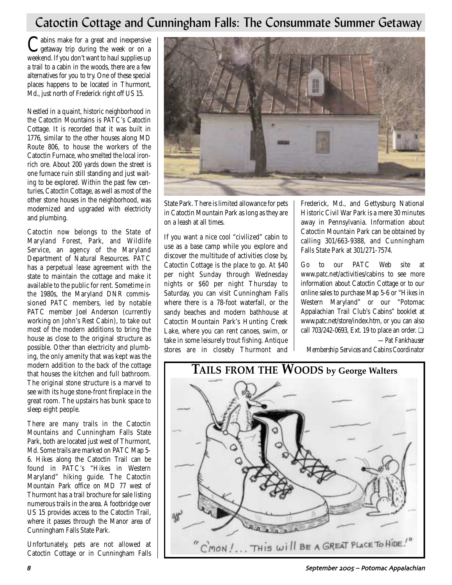## Catoctin Cottage and Cunningham Falls: The Consummate Summer Getaway

Cabins make for a great and inexpensive<br>getaway trip during the week or on a weekend. If you don't want to haul supplies up a trail to a cabin in the woods, there are a few alternatives for you to try. One of these special places happens to be located in Thurmont, Md., just north of Frederick right off US 15.

Nestled in a quaint, historic neighborhood in the Catoctin Mountains is PATC's Catoctin Cottage. It is recorded that it was built in 1776, similar to the other houses along MD Route 806, to house the workers of the Catoctin Furnace, who smelted the local ironrich ore. About 200 yards down the street is one furnace ruin still standing and just waiting to be explored. Within the past few centuries, Catoctin Cottage, as well as most of the other stone houses in the neighborhood, was modernized and upgraded with electricity and plumbing.

Catoctin now belongs to the State of Maryland Forest, Park, and Wildlife Service, an agency of the Maryland Department of Natural Resources. PATC has a perpetual lease agreement with the state to maintain the cottage and make it available to the public for rent. Sometime in the 1980s, the Maryland DNR commissioned PATC members, led by notable PATC member Joel Anderson (currently working on John's Rest Cabin), to take out most of the modern additions to bring the house as close to the original structure as possible. Other than electricity and plumbing, the only amenity that was kept was the modern addition to the back of the cottage that houses the kitchen and full bathroom. The original stone structure is a marvel to see with its huge stone-front fireplace in the great room. The upstairs has bunk space to sleep eight people.

There are many trails in the Catoctin Mountains and Cunningham Falls State Park, both are located just west of Thurmont, Md. Some trails are marked on PATC Map 5- 6. Hikes along the Catoctin Trail can be found in PATC's "Hikes in Western Maryland" hiking guide. The Catoctin Mountain Park office on MD 77 west of Thurmont has a trail brochure for sale listing numerous trails in the area. A footbridge over US 15 provides access to the Catoctin Trail, where it passes through the Manor area of Cunningham Falls State Park.

Unfortunately, pets are not allowed at Catoctin Cottage or in Cunningham Falls



State Park. There is limited allowance for pets in Catoctin Mountain Park as long as they are on a leash at all times.

If you want a nice cool "civilized" cabin to use as a base camp while you explore and discover the multitude of activities close by, Catoctin Cottage is the place to go. At \$40 per night Sunday through Wednesday nights or \$60 per night Thursday to Saturday, you can visit Cunningham Falls where there is a 78-foot waterfall, or the sandy beaches and modern bathhouse at Catoctin Mountain Park's Hunting Creek Lake, where you can rent canoes, swim, or take in some leisurely trout fishing. Antique stores are in closeby Thurmont and

Frederick, Md., and Gettysburg National Historic Civil War Park is a mere 30 minutes away in Pennsylvania. Information about Catoctin Mountain Park can be obtained by calling 301/663-9388, and Cunningham Falls State Park at 301/271-7574.

Go to our PATC Web site at www.patc.net/activities/cabins to see more information about Catoctin Cottage or to our online sales to purchase Map 5-6 or "Hikes in Western Maryland" or our "Potomac Appalachian Trail Club's Cabins" booklet at www.patc.net/store/index.htm, or you can also call 703/242-0693, Ext. 19 to place an order. ❏

*—Pat Fankhauser*

*Membership Services and Cabins Coordinator* 

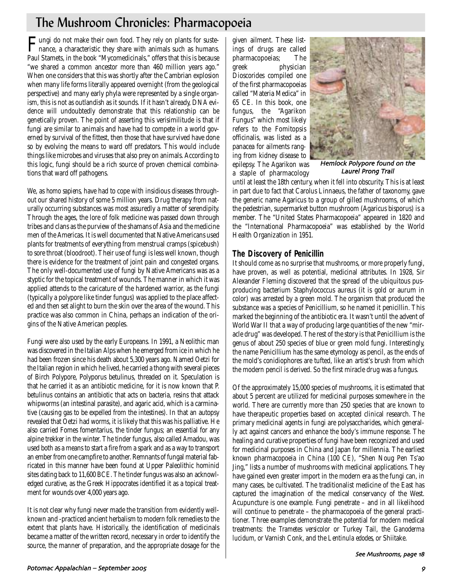# The Mushroom Chronicles: Pharmacopoeia

Fungi do not make their own food. They rely on plants for suste-nance, a characteristic they share with animals such as humans. Paul Stamets, in the book "Mycomedicinals," offers that this is because "we shared a common ancestor more than 460 million years ago." When one considers that this was shortly after the Cambrian explosion when many life forms literally appeared overnight (from the geological perspective) and many early phyla were represented by a single organism, this is not as outlandish as it sounds. If it hasn't already, DNA evidence will undoubtedly demonstrate that this relationship can be genetically proven. The point of asserting this verisimilitude is that if fungi are similar to animals and have had to compete in a world governed by survival of the fittest, then those that have survived have done so by evolving the means to ward off predators. This would include things like microbes and viruses that also prey on animals. According to this logic, fungi should be a rich source of proven chemical combinations that ward off pathogens.

We, as *homo sapiens,* have had to cope with insidious diseases throughout our shared history of some 5 million years. Drug therapy from naturally occurring substances was most assuredly a matter of serendipity. Through the ages, the lore of folk medicine was passed down through tribes and clans as the purview of the shamans of Asia and the medicine men of the Americas. It is well documented that Native Americans used plants for treatments of everything from menstrual cramps (spicebush) to sore throat (bloodroot). Their use of fungi is less well known, though there is evidence for the treatment of joint pain and congested organs. The only well-documented use of fungi by Native Americans was as a styptic for the topical treatment of wounds. The manner in which it was applied attends to the caricature of the hardened warrior, as the fungi (typically a polypore like tinder fungus) was applied to the place affected and then set alight to burn the skin over the area of the wound. This practice was also common in China, perhaps an indication of the origins of the Native American peoples.

Fungi were also used by the early Europeans. In 1991, a Neolithic man was discovered in the Italian Alps when he emerged from ice in which he had been frozen since his death about 5,300 years ago. Named Oetzi for the Italian region in which he lived, he carried a thong with several pieces of Birch Polypore, Polyporus betulinus, threaded on it. Speculation is that he carried it as an antibiotic medicine, for it is now known that P. betulinus contains an antibiotic that acts on bacteria, resins that attack whipworms (an intestinal parasite), and agaric acid, which is a carminative (causing gas to be expelled from the intestines). In that an autopsy revealed that Oetzi had worms, it is likely that this was his palliative. He also carried Fomes fomentarius, the tinder fungus; an essential for any alpine trekker in the winter. The tinder fungus, also called Amadou, was used both as a means to start a fire from a spark and as a way to transport an ember from one campfire to another. Remnants of fungal material fabricated in this manner have been found at Upper Paleolithic hominid sites dating back to 11,600 BCE. The tinder fungus was also an acknowledged curative, as the Greek Hippocrates identified it as a topical treatment for wounds over 4,000 years ago.

It is not clear why fungi never made the transition from evidently wellknown and -practiced ancient herbalism to modern folk remedies to the extent that plants have. Historically, the identification of medicinals became a matter of the written record, necessary in order to identify the source, the manner of preparation, and the appropriate dosage for the

given ailment. These listings of drugs are called pharmacopoeias; The greek physician Dioscorides compiled one of the first pharmacopoeias called "Materia Medica" in 65 CE. In this book, one fungus, the "Agarikon Fungus" which most likely refers to the Fomitopsis officinalis, was listed as a panacea for ailments ranging from kidney disease to epilepsy. The Agarikon was a staple of pharmacology



Hemlock Polypore found on the Laurel Prong Trail

until at least the 18th century, when it fell into obscurity. This is at least in part due to fact that Carolus Linnaeus, the father of taxonomy, gave the generic name Agaricus to a group of gilled mushrooms, of which the pedestrian, supermarket button mushroom (Agaricus bisporus) is a member. The "United States Pharmacopoeia" appeared in 1820 and the "International Pharmacopoeia" was established by the World Health Organization in 1951.

## **The Discovery of Penicillin**

It should come as no surprise that mushrooms, or more properly fungi, have proven, as well as potential, medicinal attributes. In 1928, Sir Alexander Fleming discovered that the spread of the ubiquitous pusproducing bacterium Staphylococcus aureus (it is gold or aurum in color) was arrested by a green mold. The organism that produced the substance was a species of Penicillium, so he named it penicillin. This marked the beginning of the antibiotic era. It wasn't until the advent of World War II that a way of producing large quantities of the new "miracle drug" was developed. The rest of the story is that Penicillium is the genus of about 250 species of blue or green mold fungi. Interestingly, the name Penicillium has the same etymology as pencil, as the ends of the mold's conidiophores are tufted, like an artist's brush from which the modern pencil is derived. So the first miracle drug was a fungus.

Of the approximately 15,000 species of mushrooms, it is estimated that about 5 percent are utilized for medicinal purposes somewhere in the world. There are currently more than 250 species that are known to have therapeutic properties based on accepted clinical research. The primary medicinal agents in fungi are polysaccharides, which generally act against cancers and enhance the body's immune response. The healing and curative properties of fungi have been recognized and used for medicinal purposes in China and Japan for millennia. The earliest known pharmacopoeia in China (100 CE), "Shen Noug Pen Ts'ao Jing," lists a number of mushrooms with medicinal applications. They have gained even greater import in the modern era as the fungi can, in many cases, be cultivated. The traditionalist medicine of the East has captured the imagination of the medical conservancy of the West. Acupuncture is one example. Fungi penetrate – and in all likelihood will continue to penetrate – the pharmacopoeia of the general practitioner. Three examples demonstrate the potential for modern medical treatments: the *Trametes versicolor* or Turkey Tail, the *Ganoderma lucidum*, or Varnish Conk, and the *Lentinula edodes*, or Shiitake.

#### See Mushrooms, page 18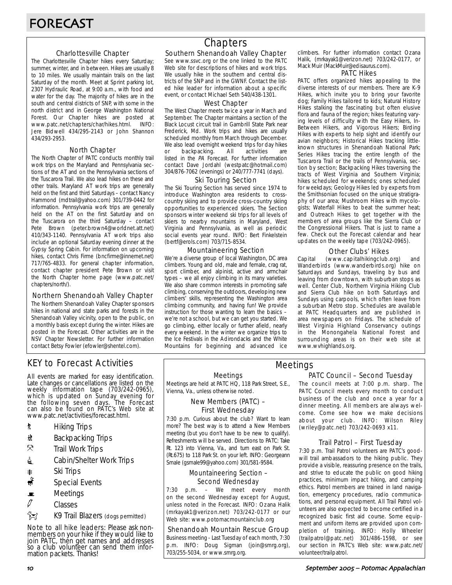### Charlottesville Chapter

The Charlottesville Chapter hikes every Saturday; summer, winter, and in between. Hikes are usually 8 to 10 miles. We usually maintain trails on the last Saturday of the month. Meet at Sprint parking lot, 2307 Hydraulic Road, at 9:00 a.m., with food and water for the day. The majority of hikes are in the south and central districts of SNP, with some in the north district and in George Washington National Forest. Our Chapter hikes are posted at www.patc.net/chapters/char/hikes.html. INFO: Jere Bidwell 434/295-2143 or John Shannon 434/293-2953.

#### North Chapter

The North Chapter of PATC conducts monthly trail work trips on the Maryland and Pennsylvania sections of the AT and on the Pennsylvania sections of the Tuscarora Trail. We also lead hikes on these and other trails. Maryland AT work trips are generally held on the first and third Saturdays – contact Nancy Hammond (mdtrail@yahoo.com) 301/739-0442 for information. Pennsylvania work trips are generally held on the AT on the first Saturday and on the Tuscarora on the third Saturday – contact Pete Brown (peter.brown4@worldnet.att.net) 410/343-1140. Pennsylvania AT work trips also include an optional Saturday evening dinner at the Gypsy Spring Cabin. For information on upcoming hikes, contact Chris Firme (bncfirme@innernet.net) 717/765-4833. For general chapter information, contact chapter president Pete Brown or visit the North Chapter home page (www.patc.net/ chapters/north/).

#### Northern Shenandoah Valley Chapter

The Northern Shenandoah Valley Chapter sponsors hikes in national and state parks and forests in the Shenandoah Valley vicinity, open to the public, on a monthly basis except during the winter. Hikes are posted in the Forecast. Other activities are in the NSV Chapter Newsletter. For further information contact Betsy Fowler (efowler@shentel.com).

## KEY to Forecast Activities

All events are marked for easy identification. Late changes or cancellations are listed on the weekly information tape (703/242-0965), which is updated on Sunday evening for the following seven days. The Forecast can also be found on PATC's Web site at www.patc.net/activities/forecast.html.

- **\*** Hiking Trips
- \* Backpacking Trips
- $\mathcal{R}$  Trail Work Trips
- **i** Cabin/Shelter Work Trips
- **A** Ski Trips
- Special Events
- $\blacksquare$  Meetings
- $\varnothing$  Classes
- $\hat{}$  $\hat{}$  $\hat{}$  $\hat{}$

Note to all hike leaders: Please ask nonmembers on your hike if they would like to join PATC, then get names and addresses so a club volunteer can send them information packets. Thanks!

## **Chapters**

### Southern Shenandoah Valley Chapter

See www.ssvc.org or the one linked to the PATC Web site for descriptions of hikes and work trips. We usually hike in the southern and central districts of the SNP and in the GWNF. Contact the listed hike leader for information about a specific event, or contact Michael Seth 540/438-1301.

#### West Chapter

The West Chapter meets twice a year in March and September. The Chapter maintains a section of the Black Locust circuit trail in Gambrill State Park near Frederick, Md. Work trips and hikes are usually scheduled monthly from March through December. We also lead overnight weekend trips for day hikes or backpacking. All activities are listed in the PA Forecast. For further information contact Dave Jordahl (westpatc@hotmail.com) 304/876-7062 (evenings) or 240/777-7741 (days).

#### Ski Touring Section

The Ski Touring Section has served since 1974 to introduce Washington area residents to crosscountry skiing and to provide cross-country skiing opportunities to experienced skiers. The Section sponsors winter weekend ski trips for all levels of skiers to nearby mountains in Maryland, West Virginia and Pennsylvania, as well as periodic social events year round. INFO: Bert Finkelstein (bertf@erols.com) 703/715-8534.

#### Mountaineering Section

We're a diverse group of local Washington, DC area climbers. Young and old, male and female, crag rat, sport climber, and alpinist, active and armchair types – we all enjoy climbing in its many varieties. We also share common interests in promoting safe climbing, conserving the outdoors, developing new climbers' skills, representing the Washington area climbing community, and having fun! We provide instruction for those wanting to learn the basics – we're not a school, but we can get you started. We go climbing, either locally or further afield, nearly every weekend. In the winter we organize trips to the Ice Festivals in the Adirondacks and the White Mountains for beginning and advanced ice climbers. For further information contact Ozana Halik, (mrkayak1@verizon.net) 703/242-0177, or Mack Muir (MackMuir@edisaurus.com).

#### PATC Hikes

PATC offers organized hikes appealing to the diverse interests of our members. There are K-9 Hikes, which invite you to bring your favorite dog; Family Hikes tailored to kids; Natural History Hikes stalking the fascinating but often elusive flora and fauna of the region; hikes featuring varying levels of difficulty with the Easy Hikers, In-Between Hikers, and Vigorous Hikers; Birding Hikes with experts to help sight and identify our avian neighbors; Historical Hikes tracking littleknown structures in Shenandoah National Park; Series Hikes tracing the entire length of the Tuscarora Trail or the trails of Pennsylvania, section by section; Backpacking Hikes traversing the tracts of West Virginia and Southern Virginia; hikes scheduled for weekends; ones scheduled for weekdays; Geology Hikes led by experts from the Smithsonian focused on the unique stratigraphy of our area; Mushroom Hikes with mycologists; Waterfall Hikes to beat the summer heat; and Outreach Hikes to get together with the members of area groups like the Sierra Club or the Congressional Hikers. That is just to name a few. Check out the Forecast calendar and hear updates on the weekly tape (703/242-0965).

#### Other Clubs' Hikes

Capital (www.capitalhikingclub.org) and Wanderbirds (www.wanderbirds.org) hike on Saturdays and Sundays, traveling by bus and leaving from downtown, with suburban stops as well. Center Club, Northern Virginia Hiking Club and Sierra Club hike on both Saturdays and Sundays using carpools, which often leave from a suburban Metro stop. Schedules are available at PATC Headquarters and are published in area newspapers on Fridays. The schedule of West Virginia Highland Conservancy outings in the Monongahela National Forest and surrounding areas is on their web site at www.wvhighlands.org.

#### Meetings

Meetings are held at PATC HQ, 118 Park Street, S.E., Vienna, Va., unless otherwise noted.

#### New Members (PATC) – First Wednesday

7:30 p.m. Curious about the club? Want to learn more? The best way is to attend a New Members meeting (but you don't have to be new to qualify). Refreshments will be served. Directions to PATC: Take Rt. 123 into Vienna, Va., and turn east on Park St. (Rt.675) to 118 Park St. on your left. INFO: Georgeann Smale (gsmale99@yahoo.com) 301/581-9584.

#### Mountaineering Section – Second Wednesday

7:30 p.m. – We meet every month on the second Wednesday except for August, unless noted in the Forecast. INFO: Ozana Halik (mrkayak1@verizon.net) 703/242-0177 or our Web site: www.potomacmountainclub.org

#### Shenandoah Mountain Rescue Group

Business meeting - Last Tuesday of each month, 7:30 p.m. INFO: Doug Sigman (join@smrg.org), 703/255-5034, or www.smrg.org.

### PATC Council – Second Tuesday Meetings

The council meets at 7:00 p.m. sharp. The PATC Council meets every month to conduct business of the club and once a year for a dinner meeting. All members are always welcome. Come see how we make decisions about your club. INFO: Wilson Riley (wriley@patc.net) 703/242-0693 x11.

### Trail Patrol – First Tuesday

7:30 p.m. Trail Patrol volunteers are PATC's goodwill trail ambassadors to the hiking public. They provide a visible, reassuring presence on the trails, and strive to educate the public on good hiking practices, minimum impact hiking, and camping ethics. Patrol members are trained in land navigation, emergency procedures, radio communications, and personal equipment. All Trail Patrol volunteers are also expected to become certified in a recognized basic first aid course. Some equipment and uniform items are provided upon completion of training. INFO: Holly Wheeler (trailpatrol@patc.net) 301/486-1598, or see our section in PATC's Web site: www.patc.net/ volunteer/trailpatrol.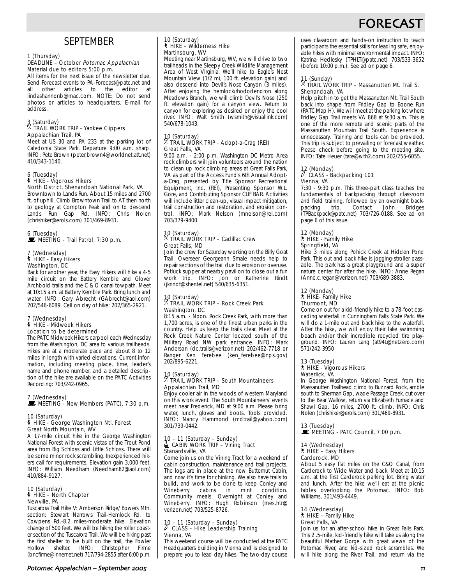# FORECAS

## **SEPTEMBER**

#### 1 (Thursday)

#### DEADLINE – October Potomac Appalachian Material due to editors 5:00 p.m.

All items for the next issue of the newsletter due. Send Forecast events to PA-Forecast@patc.net and<br>all other articles to the editor at all other articles to the lindashannonb@mac.com. NOTE: Do not send photos or articles to headquarters. E-mail for address.

### 3 (Saturday) . TRAIL WORK TRIP - Yankee Clippers Appalachian Trail, PA

Meet at US 30 and PA 233 at the parking lot of Caledonia State Park. Departure 9:00 a.m. sharp. INFO: Pete Brown (peter.brown4@worldnet.att.net) 410/343-1140.

## 6 (Tuesday) ` HIKE - Vigorous Hikers North District, Shenandoah National Park, VA

Browntown to Lands Run. About 15 miles and 2700 ft. of uphill. Climb Browntown Trail to AT then north to geology at Compton Peak and on to descend Lands Run Gap Rd. INFO: Chris Nolen (chrishiker@erols.com) 301/469-8931.

#### 6 (Tuesday)  $\mathbf{\dot{F}}$  MEETING - Trail Patrol, 7:30 p.m.

#### 7 (Wednesday) ` HIKE - Easy Hikers Washington, DC

Back for another year, the Easy Hikers will hike a 4-5 mile circuit on the Battery Kemble and Glover Archbold trails and the C & O canal towpath. Meet at 10:15 a.m. at Battery Kemble Park. Bring lunch and water. INFO: Gary Abrecht (GAbrecht@aol.com) 202/546-6089. Cell on day of hike: 202/365-2921.

#### 7 (Wednesday) ` HIKE - Midweek Hikers Location to be determined

The PATC Midweek Hikers carpool each Wednesday from the Washington, DC area to various trailheads. Hikes are at a moderate pace and about 8 to 12 miles in length with varied elevations. Current information, including meeting place, time, leader's name and phone number, and a detailed description of the hike are available on the PATC Activities Recording: 703/242-0965.

#### 7 (Wednesday)  $\mathbf{E}$  MEETING - New Members (PATC), 7:30 p.m.

#### 10 (Saturday) ` HIKE - George Washington Ntl. Forest Great North Mountain, WV

A 17-mile circuit hike in the George Washington National Forest with scenic vistas of the Trout Pond area from Big Schloss and Little Schloss. There will be some minor rock scrambling. Inexperienced hikers call for requirements. Elevation gain 3,000 feet. INFO: William Needham (Needham82@aol.com) 410/884-9127.

#### 10 (Saturday) ` HIKE – North Chapter Newville, PA

Tuscarora Trail Hike V: Amberson Ridge/ Bowers Mtn. section: Stewart Narrows Trail-Hemlock Rd. to Cowpens Rd.-8.2 miles-moderate hike. Elevation change of 500 feet. We will be hiking the roller coaster section of the Tuscarora Trail. We will be hiking past the first shelter to be built on the trail, the Fowler Hollow shelter. INFO: Christopher Firme (bncfirme@innernet.net) 717/794-2855 after 6:00 p.m.

## 10 (Saturday) ` HIKE – Wilderness Hike Martinsburg, WV

Meeting near Martinsburg, WV, we will drive to two trailheads in the Sleepy Creek Wildlife Management Area of West Virginia. We'll hike to Eagle's Nest Mountain View (1/2 mi, 100 ft. elevation gain) and also descend into Devil's Nose Canyon (3 miles). After enjoying the hemlock/rhododendron along Meadows Branch, we will climb Devil's Nose (250 ft. elevation gain) for a canyon view. Return to canyon for exploring as desired or enjoy the cool river. INFO: Walt Smith (wsmith@visuallink.com) 540/678-1043.

## 10 (Saturday) . TRAIL WORK TRIP - Adopt-a-Crag (REI) Great Falls, VA

9:00 a.m. - 2:00 p.m. Washington DC Metro Area rock climbers will join volunteers around the nation to clean up rock climbing areas at Great Falls Park, VA as part of the Access Fund's 6th Annual Adopta-Crag, presented by Title Sponsor Recreational Equipment, Inc. (REI), Presenting Sponsor W.L. Gore, and Contributing Sponsor CLIF BAR. Activities will include litter clean-up, visual impact mitigation, trail construction and restoration, and erosion control. INFO: Mark Nelson (mnelson@rei.com) 703/379-9400.

### 10 (Saturday) . TRAIL WORK TRIP – Cadillac Crew Great Falls, MD

Join the crew for Saturday working on the Billy Goat Trail. Overseer Georgeann Smale needs help to repair sections of the trail due to erosion or overuse. Potluck supper at nearby pavilion to close out a fun work trip. INFO: Jon or Katherine Rindt (jkrindt@shentel.net) 540/635-6351.

## 10 (Saturday) . TRAIL WORK TRIP – Rock Creek Park Washington, DC

8:15 a.m. - Noon. Rock Creek Park, with more than 1,700 acres, is one of the finest urban parks in the country. Help us keep the trails clear. Meet at the Rock Creek Nature Center located south of the Military Road NW park entrance. INFO: Mark Anderson (dc.trails@verizon.net) 202/462-7718 or Ranger Ken Ferebee (ken\_ferebee@nps.gov) 202/895-6221.

## 10 (Saturday) . TRAIL WORK TRIP – South Mountaineers Appalachian Trail, MD

Enjoy cooler air in the woods of western Maryland on this work event. The South Mountaineers' events meet near Frederick, MD at 9:00 a.m. Please bring water, lunch, gloves and boots. Tools provided. INFO: Nancy Hammond (mdtrail@yahoo.com) 301/739-0442.

## 10 – 11 (Saturday – Sunday)<br>| CABIN WORK TRIP – Vining Tract Stanardsville, VA

Come join us on the Vining Tract for a weekend of cabin construction, maintenance and trail projects. The logs are in place at the new Butternut Cabin, and now it's time for chinking. We also have trails to build, and work to be done to keep Conley and Wineberry cabins in mint condition. Community meals. Overnight at Conley and Wineberry. INFO: Hugh Robinson (mes.htr@ verizon.net) 703/525-8726.

#### 10 – 11 (Saturday – Sunday)  $\ell$  CLASS – Hike Leadership Training Vienna, VA

This weekend course will be conducted at the PATC Headquarters building in Vienna and is designed to prepare you to lead day hikes. The two-day course uses classroom and hands-on instruction to teach participants the essential skills for leading safe, enjoyable hikes with minimal environmental impact. INFO: Katrina Hedlesky (TPHLT@patc.net) 703/533-3652 (before 10:00 p.m.). See ad on page 6.

## 11 (Sunday) . TRAIL WORK TRIP – Massanutten Mt. Trail S. Shenandoah, VA

Help pitch in to get the Massanutten Mt. Trail South back into shape from Fridley Gap to Boone Run (PATC Map H). We will meet at the parking lot where Fridley Gap Trail meets VA 868 at 9:30 a.m. This is one of the more remote and scenic parts of the Massanutten Mountain Trail South. Experience is unnecessary. Training and tools can be provided. This trip is subject to prevailing or forecast weather. Please check before going to the meeting site. INFO: Tate Heuer (tate@wth2.com) 202/255-6055.

#### 12 (Monday)<br>*|* CLASS a CLASS - Backpacking 101 Vienna, VA

7:30 - 9:30 p.m. This three-part class teaches the fundamentals of backpacking through classroom and field training, followed by an overnight back-<br>packing trip. Contact John Bridges Contact J (TPBackpack@patc.net) 703/726-0188. See ad on page 6 of this issue.

#### 12 (Monday) ` HIKE - Family Hike Springfield, VA

Hike 3 miles along Pohick Creek at Hidden Pond Park. This out and back hike is jogging-stroller passable. The park has a great playground and a super nature center for after the hike. INFO: Anne Regan (Anne.c.regan@verizon.net) 703/689-3883.

#### 12 (Monday) ` HIKE- Family Hike Thurmont, MD

Come on out for a kid-friendly hike to a 78-foot cascading waterfall in Cunningham Falls State Park. We will do a 1-mile out and back hike to the waterfall. After the hike, we will enjoy their lake swimming beach and/or their incredible recycled tire playground. INFO: Lauren Lang (at94L@netzero.com) 571/242-3950

#### 13 (Tuesday) ` HIKE - Vigorous Hikers Waterlick, VA

In George Washington National Forest, from the Massanutten Trailhead climb to Buzzard Rock, amble south to Sherman Gap, wade Passage Creek, cut over to the Bear Wallow, return via Elizabeth Furnace and Shawl Gap. 16 miles, 2700 ft. climb. INFO: Chris Nolen (chrishiker@erols.com) 301/469-8931.

13 (Tuesday)<br>■ MEETING - PATC Council, 7:00 p.m.

### 14 (Wednesday) ` HIKE – Easy Hikers Carderock, MD

About 5 easy flat miles on the C&O Canal, from Carderock to Wide Water and back. Meet at 10:15 a.m. at the first Carderock parking lot. Bring water and lunch. After the hike we'll eat at the picnic tables overlooking the Potomac. INFO: Bob Williams, 301/493-4449.

#### 14 (Wednesday) ` HIKE – Family Hike Great Falls, VA

Join us for an after-school hike in Great Falls Park. This 2 .5-mile, kid-friendly hike will take us along the beautiful Mather Gorge with great views of the Potomac River, and kid-sized rock scrambles. We will hike along the River Trail, and return via the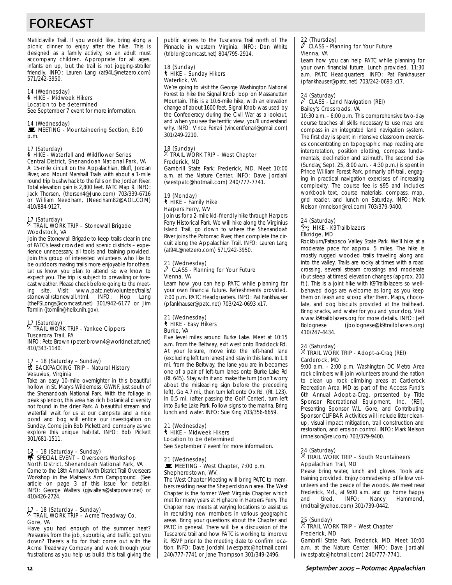# FORECAST

Matildaville Trail. If you would like, bring along a picnic dinner to enjoy after the hike. This is designed as a family activity, so an adult must accompany children. Appropriate for all ages, infants on up, but the trail is not jogging-stroller friendly. INFO: Lauren Lang (at94L@netzero.com) 571/242-3950.

#### 14 (Wednesday) ` HIKE – Midweek Hikers

Location to be determined

See September 7 event for more information.

#### 14 (Wednesday)

MEETING - Mountaineering Section, 8:00 p.m.

#### 17 (Saturday) ` HIKE - Waterfall and Wildflower Series Central District, Shenandoah National Park, VA

A 15-mile circuit on the Appalachian, Bluff, Jordan River, and Mount Marshall Trails with about a 1-mile round trip bushwhack to the falls on the Jordan River. Total elevation gain is 2,800 feet. PATC Map 9. INFO: Jack Thorsen, (thorsen4@Juno.com) 703/339-6716 or William Needham, (Needham82@AOL.COM) 410/884-9127.

### 17 (Saturday) . TRAIL WORK TRIP – Stonewall Brigade Woodstock, VA

Join the Stonewall Brigade to keep trails clear in one of PATC's least crowded and scenic districts – experience unnecessary, all tools and training provided. Join this group of interested volunteers who like to be outdoors making trails more enjoyable for others. Let us know you plan to attend so we know to expect you. The trip is subject to prevailing or forecast weather. Please check before going to the meeting site. Visit: www.patc.net/volunteer/trails/ stonewall/stonewall.html. INFO: Hop Long (theFSLongs@comcast.net) 301/942-6177 or Jim Tomlin (jtomlin@helix.nih.gov).

## 17 (Saturday) . TRAIL WORK TRIP - Yankee Clippers Tuscarora Trail, PA

INFO: Pete Brown (peter.brown4@worldnet.att.net) 410/343-1140.

#### 17 – 18 (Saturday – Sunday) M BACKPACKING TRIP – Natural History Vesuvius, Virginia

Take an easy 10-mile overnighter in this beautiful hollow in St. Mary's Wilderness, GWNF, just south of the Shenandoah National Park. With the foliage in peak splendor, this area has rich botanical diversity not found in the drier Park. A beautiful stream and waterfall wait for us at our campsite and a nice pond and bog will entice our investigation on Sunday. Come join Bob Pickett and company as we explore this unique habitat. INFO: Bob Pickett 301/681-1511.

## 17 – 18 (Saturday – Sunday)<br>
SPECIAL EVENT – Overseers Workshop North District, Shenandoah National Park, VA

Come to the 18th Annual North District Trail Overseers Workshop in the Mathews Arm Campground. (See article on page 3 of this issue for details). INFO: George Walters (gjwalters@starpower.net) or 410/426-2724.

## 17 – 18 (Saturday – Sunday) . TRAIL WORK TRIP – Acme Treadway Co. Gore, VA

Have you had enough of the summer heat? Pressures from the job, suburbia, and traffic got you down? There's a fix for that: come out with the Acme Treadway Company and work through your frustrations as you help us build this trail giving the public access to the Tuscarora Trail north of The Pinnacle in western Virginia. INFO: Don White (trlbldr@comcast.net) 804/795-2914.

#### 18 (Sunday) ` HIKE – Sunday Hikers Waterlick, VA

We're going to visit the George Washington National Forest to hike the Signal Knob loop on Massanutten Mountain. This is a 10.6-mile hike, with an elevation change of about 1600 feet. Signal Knob was used by the Confederacy during the Civil War as a lookout, and when you see the terrific view, you'll understand why. INFO: Vince Ferrari (vincentferrari@gmail.com) 301/249-2210.

## 18 (Sunday) . TRAIL WORK TRIP – West Chapter Frederick, MD

Gambrill State Park; Frederick, MD. Meet 10:00 a.m. at the Nature Center. INFO: Dave Jordahl (westpatc@hotmail.com) 240/777-7741.

#### 19 (Monday) ` HIKE – Family Hike Harpers Ferry, WV

Join us for a 2-mile kid-friendly hike through Harpers Ferry Historical Park. We will hike along the Virginius Island Trail, go down to where the Shenandoah River joins the Potomac River, then complete the circuit along the Appalachian Trail. INFO: Lauren Lang (at94L@netzero.com) 571/242-3950.

#### 21 (Wednesday)  $\overline{\ell}$  CLASS - Planning for Your Future Vienna, VA

Learn how you can help PATC while planning for your own financial future. Refreshments provided. 7:00 p.m. PATC Headquarters. INFO: Pat Fankhauser (pfankhauser@patc.net) 703/242-0693 x17.

#### 21 (Wednesday) ` HIKE - Easy Hikers Burke, VA

Five level miles around Burke Lake. Meet at 10:15 a.m. From the Beltway, exit west onto Braddock Rd. At your leisure, move into the left-hand lane (excluding left turn lanes) and stay in this lane. In 1.9 mi. from the Beltway, the lane you are in becomes one of a pair of left-turn lanes onto Burke Lake Rd (Rt. 645). Stay with it and make the turn (don't worry about the misleading sign before the preceding left). Go 4.7 mi., then turn left onto Ox Rd. (Rt. 123). In 0.5 mi. (after passing the Golf Center), turn left into Burke Lake Park. Follow signs to the marina. Bring lunch and water. INFO: Sue King 703/356-6659.

#### 21 (Wednesday) ` HIKE – Midweek Hikers

#### Location to be determined

See September 7 event for more information.

#### 21 (Wednesday) MEETING - West Chapter, 7:00 p.m. Shepherdstown, WV.

The West Chapter Meeting will bring PATC to members residing near the Sheperdstown area. The West Chapter is the former West Virginia Chapter which met for many years at Highacre in Harpers Ferry. The Chapter now meets at varying locations to assist us in recruiting new members in various geographic areas. Bring your questions about the Chapter and PATC in general. There will be a discussion of the Tuscarora trail and how PATC is working to improve it. RSVP prior to the meeting date to confirm location. INFO: Dave Jordahl (westpatc@hotmail.com) 240/777-7741 or Jane Thompson 301/349-2496.

## 22 (Thursday)<br> $\hat{\mathscr{C}}$  CLASS - Planning for Your Future Vienna, VA

Learn how you can help PATC while planning for your own financial future. Lunch provided. 11:30 a.m. PATC Headquarters. INFO: Pat Fankhauser (pfankhauser@patc.net) 703/242-0693 x17.

#### 24 (Saturday)  $\ell$  CLASS - Land Navigation (REI) Bailey's Crossroads, VA

10:30 a.m. - 6:00 p.m. This comprehensive two-day course teaches all skills necessary to use map and compass in an integrated land navigation system. The first day is spent in intensive classroom exercises concentrating on topographic map reading and interpretation, position plotting, compass fundamentals, declination and azimuth. The second day (Sunday, Sept. 25, 8:00 a.m. - 4:30 p.m.) is spent in Prince William Forest Park, primarily off-trail, engaging in practical navigation exercises of increasing complexity. The course fee is \$95 and includes workbook text, course materials, compass, map, grid reader, and lunch on Saturday. INFO: Mark Nelson (mnelson@rei.com) 703/379-9400.

#### 24 (Saturday) z HIKE - K9Trailblazers

## Elkridge, MD

Rockburn/Patapsco Valley State Park. We'll hike at a moderate pace for approx. 5 miles. The hike is mostly rugged wooded trails traveling along and into the valley. Trails are rocky at times with a road crossing, several stream crossings and moderate (but steep at times) elevation changes (approx. 200 ft.). This is a joint hike with K9Trailblazers so wellbehaved dogs are welcome as long as you keep them on leash and scoop after them. Maps, chocolate, and dog biscuits provided at the trailhead. Bring snacks, and water for you and your dog. Visit www.k9trailblazers.org for more details. INFO: Jeff Bolognese (jbolognese@k9trailblazers.org) 410/247-4434.

### 24 (Saturday)

#### $\%$  TRAIL WORK TRIP - Adopt-a-Crag (REI) Carderock, MD

9:00 a.m. - 2:00 p.m. Washington DC Metro Area rock climbers will join volunteers around the nation to clean up rock climbing areas at Carderock Recreation Area, MD as part of the Access Fund's 6th Annual Adopt-a-Crag, presented by Title Sponsor Recreational Equipment, Inc. (REI), Presenting Sponsor W.L. Gore, and Contributing Sponsor CLIF BAR. Activities will include litter cleanup, visual impact mitigation, trail construction and restoration, and erosion control. INFO: Mark Nelson (mnelson@rei.com) 703/379-9400.

### 24 (Saturday)

#### $\%$  TRAIL WORK TRIP – South Mountaineers Appalachian Trail, MD

Please bring water, lunch and gloves. Tools and training provided. Enjoy comradeship of fellow volunteers and the peace of the woods. We meet near Frederick, Md., at 9:00 a.m. and go home happy and tired. INFO: Nancy Hammond, (mdtrail@yahoo.com) 301/739-0442.

#### 25 (Sunday)

#### $^\times$  TRAIL WORK TRIP – West Chapter Frederick, MD

Gambrill State Park, Frederick, MD. Meet 10:00 a.m. at the Nature Center. INFO: Dave Jordahl (westpatc@hotmail.com) 240/777-7741.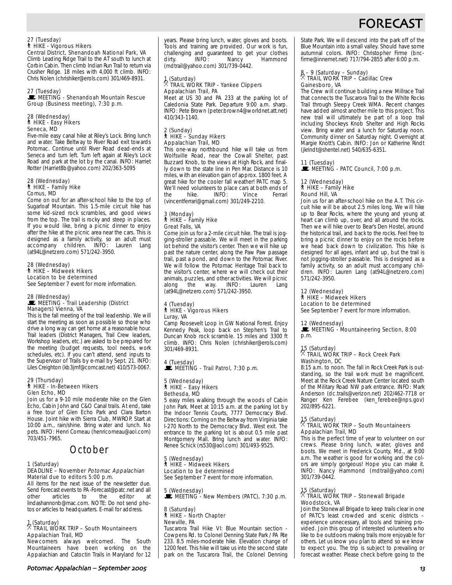# **FORECAS**

## 27 (Tuesday) ` HIKE - Vigorous Hikers Central District, Shenandoah National Park, VA

Climb Leading Ridge Trail to the AT south to lunch at Corbin Cabin. Then climb Indian Run Trail to return via Crusher Ridge. 18 miles with 4,000 ft climb. INFO: Chris Nolen (chrishiker@erols.com) 301/469-8931.

#### 27 (Tuesday)

#### **WEETING - Shenandoah Mountain Rescue** Group (Business meeting), 7:30 p.m.

#### 28 (Wednesday) ` HIKE - Easy Hikers Seneca, MD

Five-mile easy canal hike at Riley's Lock. Bring lunch and water. Take Beltway to River Road exit towards Potomac. Continue until River Road dead-ends at Seneca and turn left. Turn left again at Riley's Lock Road and park at the lot by the canal. INFO: Harriet Rotter (Harriet8b@yahoo.com) 202/363-5095

#### 28 (Wednesday) ` HIKE – Family Hike Comus, MD

Come on out for an after-school hike to the top of Sugarloaf Mountain. This 1.5-mile circuit hike has some kid-sized rock scrambles, and good views from the top. The trail is rocky and steep in places. If you would like, bring a picnic dinner to enjoy after the hike at the picnic area near the cars. This is designed as a family activity, so an adult must accompany children. INFO: Lauren Lang (at94L@netzero.com) 571/242-3950.

#### 28 (Wednesday) ` HIKE – Midweek Hikers Location to be determined

See September 7 event for more information.

#### 28 (Wednesday) MEETING - Trail Leadership (District Managers) Vienna, VA

This is the fall meeting of the trail leadership. We will start the meeting as soon as possible so those who drive a long way can get home at a reasonable hour. Trail leaders (District Managers, Trail Crew leaders, Workshop leaders, etc.) are asked to be prepared for the meeting (budget requests, tool needs, work schedules, etc). If you can't attend, send inputs to the Supervisor of Trails by e-mail by Sept. 21. INFO: Liles Creighton (kb3jmf@comcast.net) 410/573-0067.

## 29 (Thursday) ` HIKE - In-Between Hikers Glen Echo, MD

Join us for a 9-10 mile moderate hike on the Glen Echo, Cabin John and C&O Canal trails. At end, take a free tour of Glen Echo Park and Clara Barton House. Joint hike with Sierra Club, MWROP. Start at 10:00 a.m., rain/shine. Bring water and lunch. No pets. INFO: Henri Comeau (henricomeau@aol.com) 703/451-7965.

## October

#### 1 (Saturday) DEADLINE - November Potomac Appalachian Material due to editors 5:00 p.m.

All items for the next issue of the newsletter due. Send Forecast events to PA-Forecast@patc.net and all<br>other articles to the editor at other articles to the editor at lindashannonb@mac.com. NOTE: Do not send photos or articles to headquarters. E-mail for address.

### 1 (Saturday) . TRAIL WORK TRIP – South Mountaineers Appalachian Trail, MD

Newcomers always welcomed. The South Mountaineers have been working on the Appalachian and Catoctin Trails in Maryland for 12 years. Please bring lunch, water, gloves and boots. Tools and training are provided. Our work is fun, challenging and guaranteed to get your clothes<br>dirty. INFO: Nancy Hammond Hammond (mdtrail@yahoo.com) 301/739-0442.

## 1 (Saturday) . TRAIL WORK TRIP - Yankee Clippers Appalachian Trail, PA

Meet at US 30 and PA 233 at the parking lot of Caledonia State Park. Departure 9:00 a.m. sharp. INFO: Pete Brown (peter.brown4@worldnet.att.net) 410/343-1140.

## 2 (Sunday) ` HIKE – Sunday Hikers Appalachian Trail, MD

This one-way northbound hike will take us from Wolfsville Road, near the Cowall Shelter, past Buzzard Knob, to the views at High Rock, and finally down to the state line in Pen Mar. Distance is 10 miles, with an elevation gain of approx. 1800 feet. A great hike for the cooler fall weather! PATC map 5. We'll need volunteers to place cars at both ends of<br>the hike INFO: Vince Ferrari  $INFO:$ (vincentferrari@gmail.com) 301/249-2210.

#### 3 (Monday) ` HIKE – Family Hike Great Falls, VA

Come join us for a 2-mile circuit hike. The trail is jogging-stroller passable. We will meet in the parking lot behind the visitor's center. Then we will hike up past the nature center, along the Paw Paw passage trail, past a pond, and down to the Potomac River. We will follow the Potomac Heritage Trail back to the visitor's center, where we will check out their animals, puzzles, and other activities. We will picnic Lauren (at94L@netzero.com) 571/242-3950.

## 4 (Tuesday) ` HIKE - Vigorous Hikers Luray, VA

Camp Roosevelt Loop in GW National Forest. Enjoy Kennedy Peak, loop back on Stephen's Trail to Duncan Knob rock scramble. 15 miles and 3300 ft climb. INFO: Chris Nolen (chrishiker@erols.com) 301/469-8931.

4 (Tuesday)  $\mathbf{\dot{F}}$  MEETING - Trail Patrol, 7:30 p.m.

## 5 (Wednesday) ` HIKE – Easy Hikers Bethesda, MD

5 easy miles walking through the woods of Cabin John Park. Meet at 10:15 a.m. at the parking lot by the Indoor Tennis Courts, 7777 Democracy Blvd. Directions: Coming on the Beltway from Virginia take I-270 North to the Democracy Blvd. West exit. The entrance to the parking lot is about 0.5 mile past Montgomery Mall. Bring lunch and water. INFO: Renee Schick (rs530@aol.com) 301/493-9525.

#### 5 (Wednesday) ` HIKE – Midweek Hikers Location to be determined

See September 7 event for more information.

5 (Wednesday)  $\mathbf{\dot{E}}$  MEETING - New Members (PATC), 7:30 p.m.

#### 8 (Saturday) ` HIKE – North Chapter Newville, PA

Tuscarora Trail Hike VI: Blue Mountain section - Cowpens Rd. to Colonel Denning State Park / PA Rte 233. 8.5 miles-moderate hike. Elevation change of 1200 feet. This hike will take us into the second state park on the Tuscarora Trail, the Colonel Denning

State Park. We will descend into the park off of the Blue Mountain into a small valley. Should have some autumnal colors. INFO: Christopher Firme (bncfirme@innernet.net) 717/794-2855 after 6:00 p.m.

## 8 – 9 (Saturday – Sunday) . TRAIL WORK TRIP – Cadillac Crew Gainesboro, VA

The Crew will continue building a new Millrace Trail that connects the Tuscarora Trail to the White Rocks Trail through Sleepy Creek WMA. Recent changes have added almost another mile to this project. This new trail will ultimately be part of a loop trail including Shockeys Knob Shelter and High Rocks view. Bring water and a lunch for Saturday noon. Community dinner on Saturday night. Overnight at Margie Knott's Cabin. INFO: Jon or Katherine Rindt (jkrindt@shentel.net) 540/635-6351.

## 11 (Tuesday)<br>■ MEETING - PATC Council, 7:00 p.m.

#### 12 (Wednesday) ` HIKE – Family Hike Round Hill, VA

Join us for an after-school hike on the A.T. This circuit hike will be about 2.5 miles long. We will hike up to Bear Rocks, where the young and young at heart can climb up, over, and all around the rocks. Then we will hike over to Bear's Den Hostel, around the historical trail, and back to the rocks. Feel free to bring a picnic dinner to enjoy on the rocks before we head back down to civilization. This hike is designed for all ages, infant and up, but the trail is not jogging-stroller passable. This is designed as a family activity, so an adult must accompany children. INFO: Lauren Lang (at94L@netzero.com) 571/242-3950.

#### 12 (Wednesday)

## ` HIKE – Midweek Hikers

Location to be determined See September 7 event for more information.

#### 12 (Wednesday)

MEETING - Mountaineering Section, 8:00 p.m.

## 15 (Saturday) . TRAIL WORK TRIP – Rock Creek Park Washington, DC

8:15 a.m. to noon. The fall in Rock Creek Park is outstanding, so the trail work must be magnificent. Meet at the Rock Creek Nature Center located south of the Military Road NW park entrance. INFO: Mark Anderson (dc.trails@verizon.net) 202/462-7718 or Ranger Ken Ferebee (ken\_ferebee@nps.gov) 202/895-6221.

### 15 (Saturday) . TRAIL WORK TRIP – South Mountaineers Appalachian Trail, MD

This is the perfect time of year to volunteer on our crews. Please bring lunch, water, gloves and boots. We meet in Frederick County, Md., at 9:00 a.m. The weather is good for working and the colors are simply gorgeous! Hope you can make it. INFO: Nancy Hammond (mdtrail@yahoo.com) 301/739-0442.

### 15 (Saturday) . TRAIL WORK TRIP – Stonewall Brigade Woodstock, VA

Join the Stonewall Brigade to keep trails clear in one of PATC's least crowded and scenic districts – experience unnecessary, all tools and training provided. Join this group of interested volunteers who like to be outdoors making trails more enjoyable for others. Let us know you plan to attend so we know to expect you. The trip is subject to prevailing or forecast weather. Please check before going to the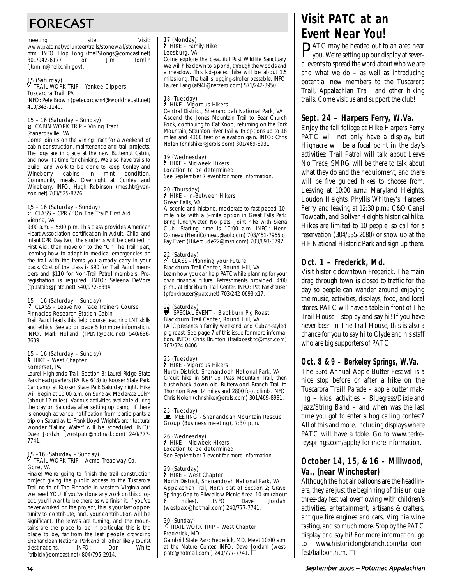# FORECAST

meeting site. Visit: www.patc.net/volunteer/trails/stonewall/stonewall. html. INFO: Hop Long (the FSLongs@comcast.net)<br>301/942-6177 or Jim Tomlin 301/942-6177 (jtomlin@helix.nih.gov).

## 15 (Saturday) . TRAIL WORK TRIP – Yankee Clippers Tuscarora Trail, PA

INFO: Pete Brown (peter.brown4@worldnet.att.net) 410/343-1140.

#### 15 – 16 (Saturday – Sunday)  $\triangleq$  CABIN WORK TRIP – Vining Tract Stanardsville, VA

Come join us on the Vining Tract for a weekend of cabin construction, maintenance and trail projects. The logs are in place at the new Butternut Cabin, and now it's time for chinking. We also have trails to build, and work to be done to keep Conley and<br>Wineberry cabins in mint condition. Wineberry cabins Community meals. Overnight at Conley and Wineberry. INFO: Hugh Robinson (mes.htr@verizon.net) 703/525-8726.

## 15 – 16 (Saturday - Sunday) a CLASS – CPR / "On The Trail" First Aid Vienna, VA

9:00 a.m. – 5:00 p.m. This class provides American Heart Association certification in Adult, Child and Infant CPR. Day two, the students will be certified in First Aid, then move on to the "On The Trail" part, learning how to adapt to medical emergencies on the trail with the items you already carry in your pack. Cost of the class is \$90 for Trail Patrol members and \$110 for Non-Trail Patrol members. Preregistration is required. INFO: Saleena DeVore (tp1staid@patc.net) 540/972-8394.

#### 15 – 16 (Saturday – Sunday)  $\ell$  CLASS – Leave No Trace Trainers Course Pinnacles Research Station Cabin

Trail Patrol leads this field course teaching LNT skills and ethics. See ad on page 5 for more information. INFO: Mark Holland (TPLNT@patc.net) 540/636- 3639.

#### 15 – 16 (Saturday – Sunday) ` HIKE – West Chapter Somerset, PA

Laurel Highlands Trail, Section 3; Laurel Ridge State Park Headquarters (PA Rte 643) to Kooser State Park. Car camp at Kooser State Park Saturday night. Hike will begin at 10:00 a.m. on Sunday. Moderate 19km (about 12 miles). Various activities available during the day on Saturday after setting up camp. If there is enough advance notification from participants a trip on Saturday to Frank Lloyd Wright's architectural wonder "Falling Water" will be scheduled. INFO: Dave Jordahl (westpatc@hotmail.com) 240/777- 7741.

## 15 –16 (Saturday – Sunday) . TRAIL WORK TRIP – Acme Treadway Co. Gore, VA

Finale! We're going to finish the trail construction project giving the public access to the Tuscarora Trail north of The Pinnacle in western Virginia and we need YOU! If you've done any work on this project, you'll want to be there as we finish it. If you've never worked on the project, this is your last opportunity to contribute, and, your contribution will be significant. The leaves are turning, and the mountains are the place to be In particular, this is the place to be, far from the leaf people crowding Shenandoah National Park and all other likely tourist destinations. INFO: Don White (trlbldr@comcast.net) 804/795-2914.

## 17 (Monday) ` HIKE – Family Hike Leesburg, VA

Come explore the beautiful Rust Wildlife Sanctuary. We will hike down to a pond, through the woods and a meadow. This kid-paced hike will be about 1.5 miles long. The trail is jogging-stroller passable. INFO: Lauren Lang (at94L@netzero.com) 571/242-3950.

#### 18 (Tuesday) ` HIKE - Vigorous Hikers Central District, Shenandoah National Park, VA

Ascend the Jones Mountain Trail to Bear Church Rock, continuing to Cat Knob, returning on the Fork Mountain, Staunton River Trail with options up to 18 miles and 4300 feet of elevation gain. INFO: Chris Nolen (chrishiker@erols.com) 301/469-8931.

### 19 (Wednesday) ` HIKE – Midweek Hikers

Location to be determined See September 7 event for more information.

#### 20 (Thursday) ` HIKE – In-Between Hikers Great Falls, VA

A scenic and historic, moderate to fast paced 10 mile hike with a 5-mile option in Great Falls Park. Bring lunch/water. No pets. Joint hike with Sierra Club. Starting time is 10:00 a.m. INFO: Henri Comeau (HenriComeau@aol.com) 703/451-7965 or Ray Evert (Hikerdude22@msn.com) 703/893-3792.

#### 22 (Saturday)<br> *(CLASS*) a CLASS - Planning your Future Blackburn Trail Center, Round Hill, VA

Learn how you can help PATC while planning for your own financial future. Refreshments provided. 4:00 p.m., at Blackburn Trail Center. INFO: Pat Fankhauser (pfankhauser@patc.net) 703/242-0693 x17.

## 22 (Saturday)<br>
SPECIAL EVENT – Blackburn Pig Roast Blackburn Trail Center, Round Hill, VA

PATC presents a family weekend and Cuban-styled pig roast. See page 7 of this issue for more information. INFO: Chris Brunton (trailbossbtc@msn.com) 703/924-0406.

#### 25 (Tuesday) ` HIKE - Vigorous Hikers North District, Shenandoah National Park, VA

Circuit hike in SNP up Pass Mountain Trail, then bushwhack down old Butterwood Branch Trail to Thornton River. 14 miles and 2800 foot climb. INFO: Chris Nolen (chrishiker@erols.com) 301/469-8931.

25 (Tuesday) MEETING - Shenandoah Mountain Rescue Group (Business meeting), 7:30 p.m.

26 (Wednesday) ` HIKE – Midweek Hikers Location to be determined See September 7 event for more information.

#### 29 (Saturday) ` HIKE – West Chapter

North District, Shenandoah National Park, VA Appalachian Trail, North part of Section 2; Gravel Springs Gap to Elkwallow Picnic Area. 10 km (about<br>6 miles). INFO: Dave Jordahl 6 miles). INFO: Dave Jordahl (westpatc@hotmail.com) 240/777-7741.

## 30 (Sunday) . TRAIL WORK TRIP – West Chapter Frederick, MD

Gambrill State Park; Frederick, MD. Meet 10:00 a.m. at the Nature Center. INFO: Dave Jordahl (westpatc@hotmail.com ) 240/777-7741. ❏

# **Visit PATC at an Event Near You!**

PATC may be headed out to an area near you. We're setting up our display at several events to spread the word about who we are and what we do – as well as introducing potential new members to the Tuscarora Trail, Appalachian Trail, and other hiking trails. Come visit us and support the club!

## **Sept. 24 – Harpers Ferry, W.Va.**

Enjoy the fall foliage at Hike Harpers Ferry. PATC will not only have a display, but Highacre will be a focal point in the day's activities: Trail Patrol will talk about Leave No Trace, SMRG will be there to talk about what they do and their equipment, and there will be five guided hikes to choose from. Leaving at 10:00 a.m.: Maryland Heights, Loudon Heights, Phyllis Whitney's Harpers Ferry, and leaving at 12:30 p.m.: C&O Canal Towpath, and Bolivar Heights historical hike. Hikes are limited to 10 people, so call for a reservation (304/535-2080) or show up at the HF National Historic Park and sign up there.

## **Oct. 1 – Frederick, Md.**

Visit historic downtown Frederick. The main drag through town is closed to traffic for the day so people can wander around enjoying the music, activities, displays, food, and local stores. PATC will have a table in front of The Trail House – stop by and say hi! If you have never been in The Trail House, this is also a chance for you to say hi to Clyde and his staff who are big supporters of PATC.

## **Oct. 8 & 9 – Berkeley Springs, W.Va.**

The 33rd Annual Apple Butter Festival is a nice stop before or after a hike on the Tuscarora Trail! Parade – apple butter making – kids' activities – Bluegrass/Dixieland Jazz/String Band – and when was the last time you got to enter a hog calling contest? All of this and more, including displays where PATC will have a table. Go to www.berkeleysprings.com/apple/ for more information.

## **October 14, 15, & 16 – Millwood, Va., (near Winchester)**

Although the hot air balloons are the headliners, they are just the beginning of this unique three-day festival overflowing with children's activities, entertainment, artisans & crafters, antique fire engines and cars, Virginia wine tasting, and so much more. Stop by the PATC display and say hi! For more information, go to www.historiclongbranch.com/balloonfest/balloon.htm. ❏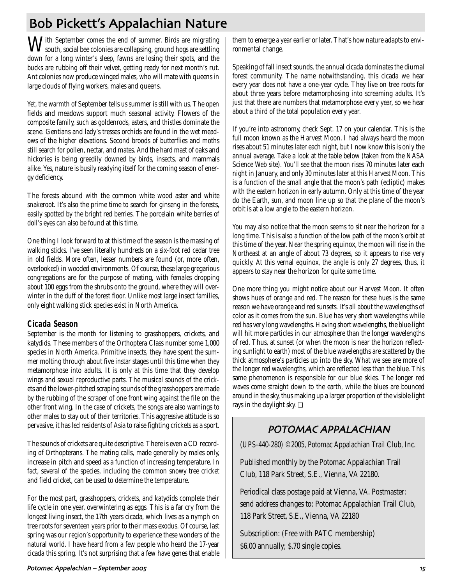# Bob Pickett's Appalachian Nature

With September comes the end of summer. Birds are migrating south, social bee colonies are collapsing, ground hogs are settling down for a long winter's sleep, fawns are losing their spots, and the bucks are rubbing off their velvet, getting ready for next month's rut. Ant colonies now produce winged males, who will mate with queens in large clouds of flying workers, males and queens.

Yet, the warmth of September tells us summer is still with us. The open fields and meadows support much seasonal activity. Flowers of the composite family, such as goldenrods, asters, and thistles dominate the scene. Gentians and lady's tresses orchids are found in the wet meadows of the higher elevations. Second broods of butterflies and moths still search for pollen, nectar, and mates. And the hard mast of oaks and hickories is being greedily downed by birds, insects, and mammals alike. Yes, nature is busily readying itself for the coming season of energy deficiency.

The forests abound with the common white wood aster and white snakeroot. It's also the prime time to search for ginseng in the forests, easily spotted by the bright red berries. The porcelain white berries of doll's eyes can also be found at this time.

One thing I look forward to at this time of the season is the massing of walking sticks. I've seen literally hundreds on a six-foot red cedar tree in old fields. More often, lesser numbers are found (or, more often, overlooked) in wooded environments. Of course, these large gregarious congregations are for the purpose of mating, with females dropping about 100 eggs from the shrubs onto the ground, where they will overwinter in the duff of the forest floor. Unlike most large insect families, only eight walking stick species exist in North America.

## **Cicada Season**

September is the month for listening to grasshoppers, crickets, and katydids. These members of the Orthoptera Class number some 1,000 species in North America. Primitive insects, they have spent the summer molting through about five instar stages until this time when they metamorphose into adults. It is only at this time that they develop wings and sexual reproductive parts. The musical sounds of the crickets and the lower-pitched scraping sounds of the grasshoppers are made by the rubbing of the scraper of one front wing against the file on the other front wing. In the case of crickets, the songs are also warnings to other males to stay out of their territories. This aggressive attitude is so pervasive, it has led residents of Asia to raise fighting crickets as a sport.

The sounds of crickets are quite descriptive. There is even a CD recording of Orthopterans. The mating calls, made generally by males only, increase in pitch and speed as a function of increasing temperature. In fact, several of the species, including the common snowy tree cricket and field cricket, can be used to determine the temperature.

For the most part, grasshoppers, crickets, and katydids complete their life cycle in one year, overwintering as eggs. This is a far cry from the longest living insect, the 17th years cicada, which lives as a nymph on tree roots for seventeen years prior to their mass exodus. Of course, last spring was our region's opportunity to experience these wonders of the natural world. I have heard from a few people who heard the 17-year cicada this spring. It's not surprising that a few have genes that enable

them to emerge a year earlier or later. That's how nature adapts to environmental change.

Speaking of fall insect sounds, the annual cicada dominates the diurnal forest community. The name notwithstanding, this cicada we hear every year does not have a one-year cycle. They live on tree roots for about three years before metamorphosing into screaming adults. It's just that there are numbers that metamorphose every year, so we hear about a third of the total population every year.

If you're into astronomy, check Sept. 17 on your calendar. This is the full moon known as the Harvest Moon. I had always heard the moon rises about 51 minutes later each night, but I now know this is only the annual average. Take a look at the table below (taken from the NASA Science Web site). You'll see that the moon rises 70 minutes later each night in January, and only 30 minutes later at this Harvest Moon. This is a function of the small angle that the moon's path (ecliptic) makes with the eastern horizon in early autumn. Only at this time of the year do the Earth, sun, and moon line up so that the plane of the moon's orbit is at a low angle to the eastern horizon.

You may also notice that the moon seems to sit near the horizon for a long time. This is also a function of the low path of the moon's orbit at this time of the year. Near the spring equinox, the moon will rise in the Northeast at an angle of about 73 degrees, so it appears to rise very quickly. At this vernal equinox, the angle is only 27 degrees, thus, it appears to stay near the horizon for quite some time.

One more thing you might notice about our Harvest Moon. It often shows hues of orange and red. The reason for these hues is the same reason we have orange and red sunsets. It's all about the wavelengths of color as it comes from the sun. Blue has very short wavelengths while red has very long wavelengths. Having short wavelengths, the blue light will hit more particles in our atmosphere than the longer wavelengths of red. Thus, at sunset (or when the moon is near the horizon reflecting sunlight to earth) most of the blue wavelengths are scattered by the thick atmosphere's particles up into the sky. What we see are more of the longer red wavelengths, which are reflected less than the blue. This same phenomenon is responsible for our blue skies. The longer red waves come straight down to the earth, while the blues are bounced around in the sky, thus making up a larger proportion of the visible light rays in the daylight sky. ❏

## POTOMAC APPALACHIAN

(UPS-440-280) ©2005, Potomac Appalachian Trail Club, Inc.

Published monthly by the Potomac Appalachian Trail Club, 118 Park Street, S.E., Vienna, VA 22180.

Periodical class postage paid at Vienna, VA. Postmaster: send address changes to: Potomac Appalachian Trail Club, 118 Park Street, S.E., Vienna, VA 22180

Subscription: (Free with PATC membership) \$6.00 annually; \$.70 single copies.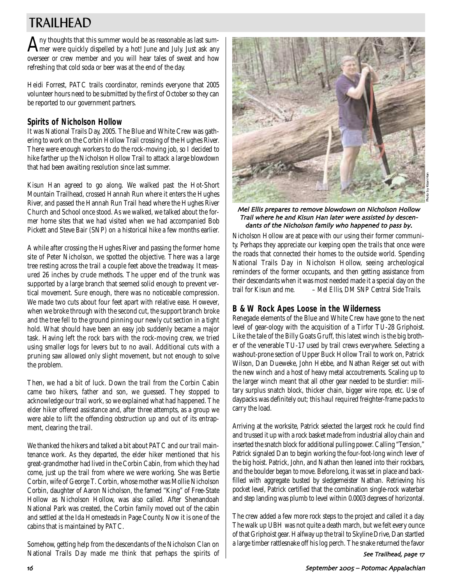# TRAILHEAD

 $A$ ny thoughts that this summer would be as reasonable as last summer were quickly dispelled by a hot! June and July. Just ask any overseer or crew member and you will hear tales of sweat and how refreshing that cold soda or beer was at the end of the day.

Heidi Forrest, PATC trails coordinator, reminds everyone that 2005 volunteer hours need to be submitted by the first of October so they can be reported to our government partners.

## **Spirits of Nicholson Hollow**

It was National Trails Day, 2005. The Blue and White Crew was gathering to work on the Corbin Hollow Trail crossing of the Hughes River. There were enough workers to do the rock-moving job, so I decided to hike farther up the Nicholson Hollow Trail to attack a large blowdown that had been awaiting resolution since last summer.

Kisun Han agreed to go along. We walked past the Hot-Short Mountain Trailhead, crossed Hannah Run where it enters the Hughes River, and passed the Hannah Run Trail head where the Hughes River Church and School once stood. As we walked, we talked about the former home sites that we had visited when we had accompanied Bob Pickett and Steve Bair (SNP) on a historical hike a few months earlier.

A while after crossing the Hughes River and passing the former home site of Peter Nicholson, we spotted the objective. There was a large tree resting across the trail a couple feet above the treadway. It measured 26 inches by crude methods. The upper end of the trunk was supported by a large branch that seemed solid enough to prevent vertical movement. Sure enough, there was no noticeable compression. We made two cuts about four feet apart with relative ease. However, when we broke through with the second cut, the support branch broke and the tree fell to the ground pinning our newly cut section in a tight hold. What should have been an easy job suddenly became a major task. Having left the rock bars with the rock-moving crew, we tried using smaller logs for levers but to no avail. Additional cuts with a pruning saw allowed only slight movement, but not enough to solve the problem.

Then, we had a bit of luck. Down the trail from the Corbin Cabin came two hikers, father and son, we guessed. They stopped to acknowledge our trail work, so we explained what had happened. The elder hiker offered assistance and, after three attempts, as a group we were able to lift the offending obstruction up and out of its entrapment, clearing the trail.

We thanked the hikers and talked a bit about PATC and our trail maintenance work. As they departed, the elder hiker mentioned that his great-grandmother had lived in the Corbin Cabin, from which they had come, just up the trail from where we were working. She was Bertie Corbin, wife of George T. Corbin, whose mother was Mollie Nicholson Corbin, daughter of Aaron Nicholson, the famed "King" of Free-State Hollow as Nicholson Hollow, was also called. After Shenandoah National Park was created, the Corbin family moved out of the cabin and settled at the Ida Homesteads in Page County. Now it is one of the cabins that is maintained by PATC.

Somehow, getting help from the descendants of the Nicholson Clan on National Trails Day made me think that perhaps the spirits of



Mel Ellis prepares to remove blowdown on Nicholson Hollow Trail where he and Kisun Han later were assisted by descendants of the Nicholson family who happened to pass by.

Nicholson Hollow are at peace with our using their former community. Perhaps they appreciate our keeping open the trails that once were the roads that connected their homes to the outside world. Spending National Trails Day in Nicholson Hollow, seeing archeological reminders of the former occupants, and then getting assistance from their descendants when it was most needed made it a special day on the trail for Kisun and me. – *Mel Ellis, DM SNP Central Side Trails.* 

## **B & W Rock Apes Loose in the Wilderness**

Renegade elements of the Blue and White Crew have gone to the next level of gear-ology with the acquisition of a Tirfor TU-28 Griphoist. Like the tale of the Billy Goats Gruff, this latest winch is the big brother of the venerable TU-17 used by trail crews everywhere. Selecting a washout-prone section of Upper Buck Hollow Trail to work on, Patrick Wilson, Dan Dueweke, John Hebbe, and Nathan Reiger set out with the new winch and a host of heavy metal accoutrements. Scaling up to the larger winch meant that all other gear needed to be sturdier: military surplus snatch block, thicker chain, bigger wire rope, etc. Use of daypacks was definitely out; this haul required freighter-frame packs to carry the load.

Arriving at the worksite, Patrick selected the largest rock he could find and trussed it up with a rock basket made from industrial alloy chain and inserted the snatch block for additional pulling power. Calling "Tension," Patrick signaled Dan to begin working the four-foot-long winch lever of the big hoist. Patrick, John, and Nathan then leaned into their rockbars, and the boulder began to move. Before long, it was set in place and backfilled with aggregate busted by sledgemeister Nathan. Retrieving his pocket level, Patrick certified that the combination single-rock waterbar and step landing was plumb to level within 0.0003 degrees of horizontal.

The crew added a few more rock steps to the project and called it a day. The walk up UBH was not quite a death march, but we felt every ounce of that Griphoist gear. Halfway up the trail to Skyline Drive, Dan startled a large timber rattlesnake off his log perch. The snake returned the favor

See Trailhead, page 17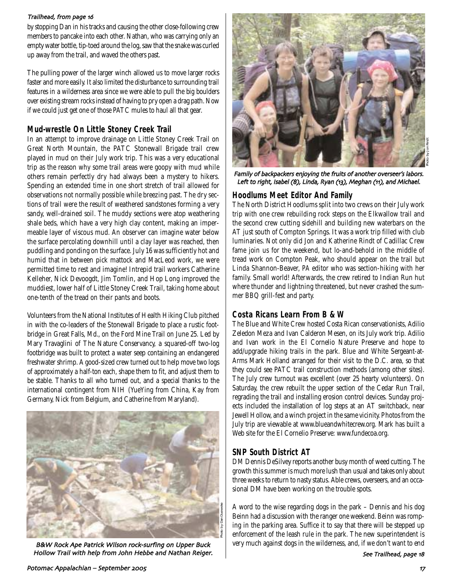### Trailhead, from page 16

by stopping Dan in his tracks and causing the other close-following crew members to pancake into each other. Nathan, who was carrying only an empty water bottle, tip-toed around the log, saw that the snake was curled up away from the trail, and waved the others past.

The pulling power of the larger winch allowed us to move larger rocks faster and more easily. It also limited the disturbance to surrounding trail features in a wilderness area since we were able to pull the big boulders over existing stream rocks instead of having to pry open a drag path. Now if we could just get one of those PATC mules to haul all that gear.

## **Mud-wrestle On Little Stoney Creek Trail**

In an attempt to improve drainage on Little Stoney Creek Trail on Great North Mountain, the PATC Stonewall Brigade trail crew played in mud on their July work trip. This was a very educational trip as the reason why some trail areas were goopy with mud while others remain perfectly dry had always been a mystery to hikers. Spending an extended time in one short stretch of trail allowed for observations not normally possible while breezing past. The dry sections of trail were the result of weathered sandstones forming a very sandy, well-drained soil. The muddy sections were atop weathering shale beds, which have a very high clay content, making an impermeable layer of viscous mud. An observer can imagine water below the surface percolating downhill until a clay layer was reached, then puddling and ponding on the surface. July 16 was sufficiently hot and humid that in between pick mattock and MacLeod work, we were permitted time to rest and imagine! Intrepid trail workers Catherine Kelleher, Nick Devoogdt, Jim Tomlin, and Hop Long improved the muddiest, lower half of Little Stoney Creek Trail, taking home about one-tenth of the tread on their pants and boots.

Volunteers from the National Institutes of Health Hiking Club pitched in with the co-leaders of the Stonewall Brigade to place a rustic footbridge in Great Falls, Md., on the Ford Mine Trail on June 25. Led by Mary Travaglini of The Nature Conservancy, a squared-off two-log footbridge was built to protect a water seep containing an endangered freshwater shrimp. A good-sized crew turned out to help move two logs of approximately a half-ton each, shape them to fit, and adjust them to be stable. Thanks to all who turned out, and a special thanks to the international contingent from NIH (YueYing from China, Kay from Germany, Nick from Belgium, and Catherine from Maryland).



B&W Rock Ape Patrick Wilson rock-surfing on Upper Buck Hollow Trail with help from John Hebbe and Nathan Reiger.



Family of backpackers enjoying the fruits of another overseer's labors. Left to right, Isabel (8), Linda, Ryan (13), Meghan (11), and Michael.

## **Hoodlums Meet Editor And Family**

The North District Hoodlums split into two crews on their July work trip with one crew rebuilding rock steps on the Elkwallow trail and the second crew cutting sidehill and building new waterbars on the AT just south of Compton Springs. It was a work trip filled with club luminaries. Not only did Jon and Katherine Rindt of Cadillac Crew fame join us for the weekend, but lo-and-behold in the middle of tread work on Compton Peak, who should appear on the trail but Linda Shannon-Beaver, *PA* editor who was section-hiking with her family. Small world! Afterwards, the crew retired to Indian Run hut where thunder and lightning threatened, but never crashed the summer BBQ grill-fest and party.

## **Costa Ricans Learn From B & W**

The Blue and White Crew hosted Costa Rican conservationists, Adilio Zeledon Meza and Ivan Calderon Mesen, on its July work trip. Adilio and Ivan work in the El Cornelio Nature Preserve and hope to add/upgrade hiking trails in the park. Blue and White Sergeant-at-Arms Mark Holland arranged for their visit to the D.C. area, so that they could see PATC trail construction methods (among other sites). The July crew turnout was excellent (over 25 hearty volunteers). On Saturday, the crew rebuilt the upper section of the Cedar Run Trail, regrading the trail and installing erosion control devices. Sunday projects included the installation of log steps at an AT switchback, near Jewell Hollow, and a winch project in the same vicinity. Photos from the July trip are viewable at www.blueandwhitecrew.org. Mark has built a Web site for the El Cornelio Preserve: www.fundecoa.org.

## **SNP South District AT**

DM Dennis DeSilvey reports another busy month of weed cutting. The growth this summer is much more lush than usual and takes only about three weeks to return to nasty status. Able crews, overseers, and an occasional DM have been working on the trouble spots.

A word to the wise regarding dogs in the park – Dennis and his dog Beinn had a discussion with the ranger one weekend. Beinn was romping in the parking area. Suffice it to say that there will be stepped up enforcement of the leash rule in the park. The new superintendent is very much against dogs in the wilderness, and, if we don't want to end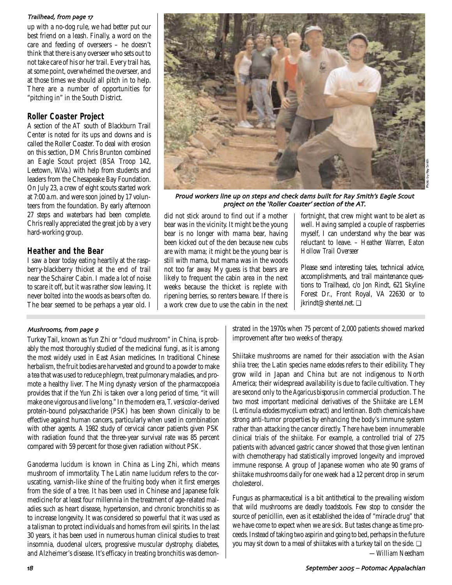#### Trailhead, from page 17

up with a no-dog rule, we had better put our best friend on a leash. Finally, a word on the care and feeding of overseers – he doesn't think that there is any overseer who sets out to not take care of his or her trail. Every trail has, at some point, overwhelmed the overseer, and at those times we should all pitch in to help. There are a number of opportunities for "pitching in" in the South District.

### **Roller Coaster Project**

A section of the AT south of Blackburn Trail Center is noted for its ups and downs and is called the Roller Coaster. To deal with erosion on this section, DM Chris Brunton combined an Eagle Scout project (BSA Troop 142, Leetown, W.Va.) with help from students and leaders from the Chesapeake Bay Foundation. On July 23, a crew of eight scouts started work at 7:00 a.m. and were soon joined by 17 volunteers from the foundation. By early afternoon 27 steps and waterbars had been complete. Chris really appreciated the great job by a very hard-working group.

## **Heather and the Bear**

I saw a bear today eating heartily at the raspberry-blackberry thicket at the end of trail near the Schairer Cabin. I made a lot of noise to scare it off, but it was rather slow leaving. It never bolted into the woods as bears often do. The bear seemed to be perhaps a year old. I



Proud workers line up on steps and check dams built for Ray Smith's Eagle Scout project on the 'Roller Coaster' section of the AT.

did not stick around to find out if a mother bear was in the vicinity. It might be the young bear is no longer with mama bear, having been kicked out of the den because new cubs are with mama; it might be the young bear is still with mama, but mama was in the woods not too far away. My guess is that bears are likely to frequent the cabin area in the next weeks because the thicket is replete with ripening berries, so renters beware. If there is a work crew due to use the cabin in the next fortnight, that crew might want to be alert as well. Having sampled a couple of raspberries myself, I can understand why the bear was reluctant to leave. – *Heather Warren, Eaton Hollow Trail Overseer* 

Please send interesting tales, technical advice, accomplishments, and trail maintenance questions to Trailhead, c/o Jon Rindt, 621 Skyline Forest Dr., Front Royal, VA 22630 or to jkrindt@shentel.net. ❏

### Mushrooms, from page 9

Turkey Tail, known as Yun Zhi or "cloud mushroom" in China, is probably the most thoroughly studied of the medicinal fungi, as it is among the most widely used in East Asian medicines. In traditional Chinese herbalism, the fruit bodies are harvested and ground to a powder to make a tea that was used to reduce phlegm, treat pulmonary maladies, and promote a healthy liver. The Ming dynasty version of the pharmacopoeia provides that if the Yun Zhi is taken over a long period of time, "it will make one vigorous and live long." In the modern era, *T. versicolor*-derived protein-bound polysaccharide (PSK) has been shown clinically to be effective against human cancers, particularly when used in combination with other agents. A 1982 study of cervical cancer patients given PSK with radiation found that the three-year survival rate was 85 percent compared with 59 percent for those given radiation without PSK.

*Ganoderma lucidum* is known in China as Ling Zhi, which means mushroom of immortality. The Latin name *lucidum* refers to the coruscating, varnish-like shine of the fruiting body when it first emerges from the side of a tree. It has been used in Chinese and Japanese folk medicine for at least four millennia in the treatment of age-related maladies such as heart disease, hypertension, and chronic bronchitis so as to increase longevity. It was considered so powerful that it was used as a talisman to protect individuals and homes from evil spirits. In the last 30 years, it has been used in numerous human clinical studies to treat insomnia, duodenal ulcers, progressive muscular dystrophy, diabetes, and Alzheimer's disease. It's efficacy in treating bronchitis was demonstrated in the 1970s when 75 percent of 2,000 patients showed marked improvement after two weeks of therapy.

Shiitake mushrooms are named for their association with the Asian shiia tree; the Latin species name *edodes* refers to their edibility. They grow wild in Japan and China but are not indigenous to North America; their widespread availability is due to facile cultivation. They are second only to the *Agaricus bisporus* in commercial production. The two most important medicinal derivatives of the Shiitake are LEM (*Lentinula edodes* mycelium extract) and lentinan. Both chemicals have strong anti-tumor properties by enhancing the body's immune system rather than attacking the cancer directly. There have been innumerable clinical trials of the shiitake. For example, a controlled trial of 275 patients with advanced gastric cancer showed that those given lentinan with chemotherapy had statistically improved longevity and improved immune response. A group of Japanese women who ate 90 grams of shiitake mushrooms daily for one week had a 12 percent drop in serum cholesterol.

Fungus as pharmaceutical is a bit antithetical to the prevailing wisdom that wild mushrooms are deadly toadstools. Few stop to consider the source of penicillin, even as it established the idea of "miracle drug" that we have come to expect when we are sick. But tastes change as time proceeds. Instead of taking two aspirin and going to bed, perhaps in the future you may sit down to a meal of shiitakes with a turkey tail on the side. ❏ *—William Needham*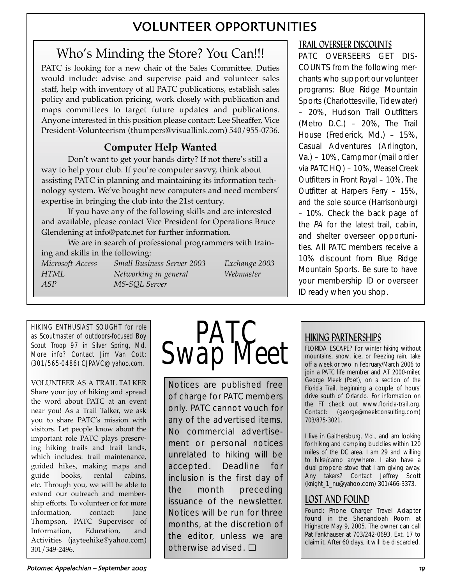# VOLUNTEER OPPORTUNITIES

# Who's Minding the Store? You Can!!!

PATC is looking for a new chair of the Sales Committee. Duties would include: advise and supervise paid and volunteer sales staff, help with inventory of all PATC publications, establish sales policy and publication pricing, work closely with publication and maps committees to target future updates and publications. Anyone interested in this position please contact: Lee Sheaffer, Vice President-Volunteerism (thumpers@visuallink.com) 540/955-0736.

## **Computer Help Wanted**

Don't want to get your hands dirty? If not there's still a way to help your club. If you're computer savvy, think about assisting PATC in planning and maintaining its information technology system. We've bought new computers and need members' expertise in bringing the club into the 21st century.

If you have any of the following skills and are interested and available, please contact Vice President for Operations Bruce Glendening at info@patc.net for further information.

We are in search of professional programmers with training and skills in the following: *Microsoft Access Small Business Server 2003 Exchange 2003 HTML Networking in general Webmaster*

*ASP MS-SQL Server*

HIKING ENTHUSIAST SOUGHT for role as Scoutmaster of outdoors-focused Boy Scout Troop 97 in Silver Spring, Md. More info? Contact Jim Van Cott: (301/565-0486) CJPAVC@yahoo.com.

VOLUNTEER AS A TRAIL TALKER Share your joy of hiking and spread the word about PATC at an event near you! As a Trail Talker, we ask you to share PATC's mission with visitors. Let people know about the important role PATC plays preserving hiking trails and trail lands, which includes: trail maintenance, guided hikes, making maps and guide books, rental cabins, etc. Through you, we will be able to extend our outreach and membership efforts. To volunteer or for more information, contact: Jane Thompson, PATC Supervisor of Information, Education, and Activities (jayteehike@yahoo.com) 301/349-2496.



Notices are published free of charge for PATC members only. PATC cannot vouch for any of the advertised items. No commercial advertisement or personal notices unrelated to hiking will be accepted. Deadline for inclusion is the first day of the month preceding issuance of the newsletter. Notices will be run for three months, at the discretion of the editor, unless we are otherwise advised. ❏

## TRAIL OVERSEER DISCOUNTS

PATC OVERSEERS GET DIS-COUNTS from the following merchants who support our volunteer programs: Blue Ridge Mountain Sports (Charlottesville, Tidewater) – 20%, Hudson Trail Outfitters (Metro D.C.) – 20%, The Trail House (Frederick, Md.) – 15%, Casual Adventures (Arlington, Va.) – 10%, Campmor (mail order via PATC HQ) – 10%, Weasel Creek Outfitters in Front Royal – 10%, The Outfitter at Harpers Ferry – 15%, and the sole source (Harrisonburg) – 10%. Check the back page of the PA for the latest trail, cabin, and shelter overseer opportunities. All PATC members receive a 10% discount from Blue Ridge Mountain Sports. Be sure to have your membership ID or overseer ID ready when you shop.

## HIKING PARTNERSHIPS

FLORIDA ESCAPE? For winter hiking without mountains, snow, ice, or freezing rain, take off a week or two in February/March 2006 to join a PATC life member and AT 2000-miler, George Meek (Poet), on a section of the Florida Trail, beginning a couple of hours' drive south of Orlando. For information on the FT check out www.florida-trail.org. Contact: (george@meekconsulting.com) 703/875-3021.

I live in Gaithersburg, Md., and am looking for hiking and camping buddies within 120 miles of the DC area. I am 29 and willing to hike/camp anywhere. I also have a dual propane stove that I am giving away. Any takers? Contact Jeffrey Scott (knight\_1\_nu@yahoo.com) 301/466-3373.

## LOST AND FOUND

Found: Phone Charger Travel Adapter found in the Shenandoah Room at Highacre May 9, 2005. The owner can call Pat Fankhauser at 703/242-0693, Ext. 17 to claim it. After 60 days, it will be discarded.